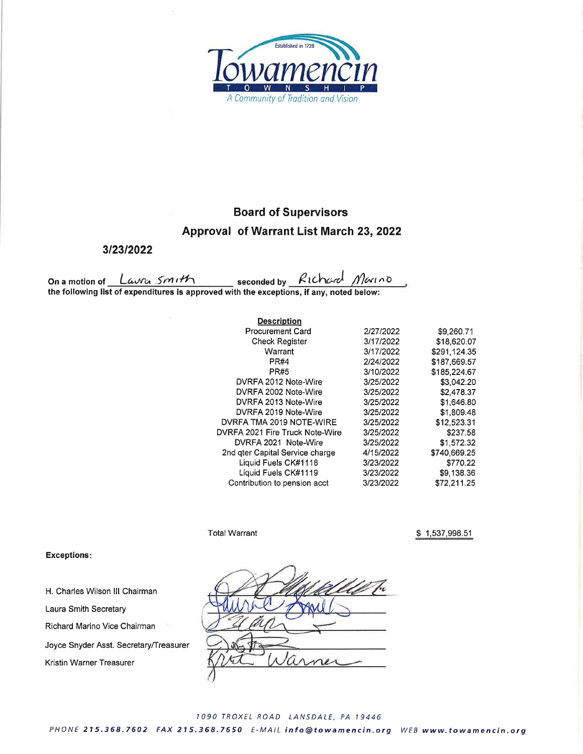

# **Board of Supervisors**

## Approval of Warrant List March 23, 2022

3/23/2022

On a motion of <u>Lawer Smuthenum</u> seconded by Richard Marino<br>the following list of expenditures is approved with the exceptions, if any, noted below:

| <b>Description</b>              |           |              |
|---------------------------------|-----------|--------------|
| <b>Procurement Card</b>         | 2/27/2022 | \$9,260.71   |
| <b>Check Register</b>           | 3/17/2022 | \$18,620.07  |
| Warrant                         | 3/17/2022 | \$291.124.35 |
| PR#4                            | 2/24/2022 | \$187,669.57 |
| <b>PR#5</b>                     | 3/10/2022 | \$185.224.67 |
| DVRFA 2012 Note-Wire            | 3/25/2022 | \$3,042.20   |
| DVRFA 2002 Note-Wire            | 3/25/2022 | \$2,478.37   |
| DVRFA 2013 Note-Wire            | 3/25/2022 | \$1,646,80   |
| DVRFA 2019 Note-Wire            | 3/25/2022 | \$1,809.48   |
| DVRFA TMA 2019 NOTE-WIRE        | 3/25/2022 | \$12,523.31  |
| DVRFA 2021 Fire Truck Note-Wire | 3/25/2022 | \$237.58     |
| DVRFA 2021 Note-Wire            | 3/25/2022 | \$1,572.32   |
| 2nd gter Capital Service charge | 4/15/2022 | \$740,669.25 |
| Liquid Fuels CK#1118            | 3/23/2022 | \$770.22     |
| Liquid Fuels CK#1119            | 3/23/2022 | \$9,138.36   |
| Contribution to pension acct    | 3/23/2022 | \$72.211.25  |

**Total Warrant** 

\$1,537,998.51

### **Exceptions:**

H. Charles Wilson III Chairman Laura Smith Secretary Richard Marino Vice Chairman Joyce Snyder Asst. Secretary/Treasurer

Kristin Warner Treasurer

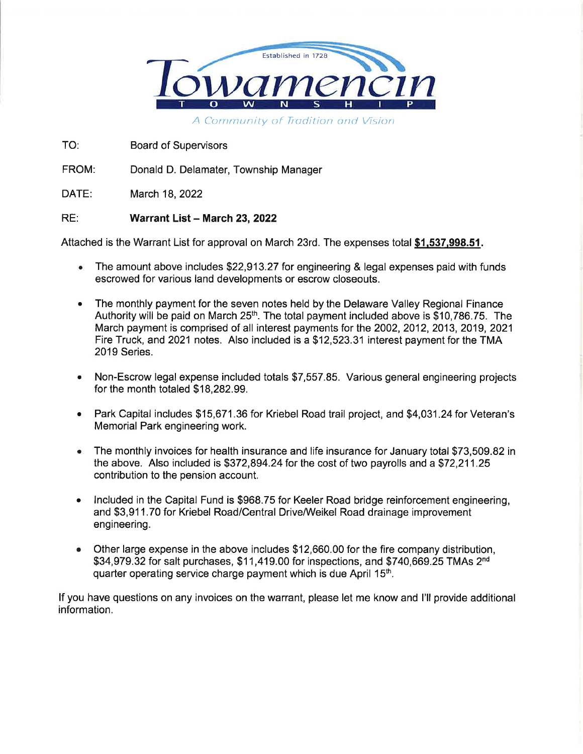

TO: **Board of Supervisors** 

FROM: Donald D. Delamater, Township Manager

DATE: March 18, 2022

#### RE: Warrant List - March 23, 2022

Attached is the Warrant List for approval on March 23rd. The expenses total \$1,537,998.51.

- The amount above includes \$22,913.27 for engineering & legal expenses paid with funds  $\bullet$ escrowed for various land developments or escrow closeouts.
- The monthly payment for the seven notes held by the Delaware Valley Regional Finance  $\bullet$ Authority will be paid on March 25<sup>th</sup>. The total payment included above is \$10,786.75. The March payment is comprised of all interest payments for the 2002, 2012, 2013, 2019, 2021 Fire Truck, and 2021 notes. Also included is a \$12,523.31 interest payment for the TMA 2019 Series.
- Non-Escrow legal expense included totals \$7,557.85. Various general engineering projects for the month totaled \$18,282.99.
- Park Capital includes \$15,671.36 for Kriebel Road trail project, and \$4,031.24 for Veteran's  $\bullet$ Memorial Park engineering work.
- The monthly invoices for health insurance and life insurance for January total \$73,509.82 in the above. Also included is \$372,894.24 for the cost of two payrolls and a \$72,211.25 contribution to the pension account.
- Included in the Capital Fund is \$968.75 for Keeler Road bridge reinforcement engineering.  $\bullet$ and \$3,911.70 for Kriebel Road/Central Drive/Weikel Road drainage improvement engineering.
- Other large expense in the above includes \$12,660.00 for the fire company distribution, ó \$34,979.32 for salt purchases, \$11,419.00 for inspections, and \$740,669.25 TMAs 2<sup>nd</sup> quarter operating service charge payment which is due April 15<sup>th</sup>.

If you have questions on any invoices on the warrant, please let me know and I'll provide additional information.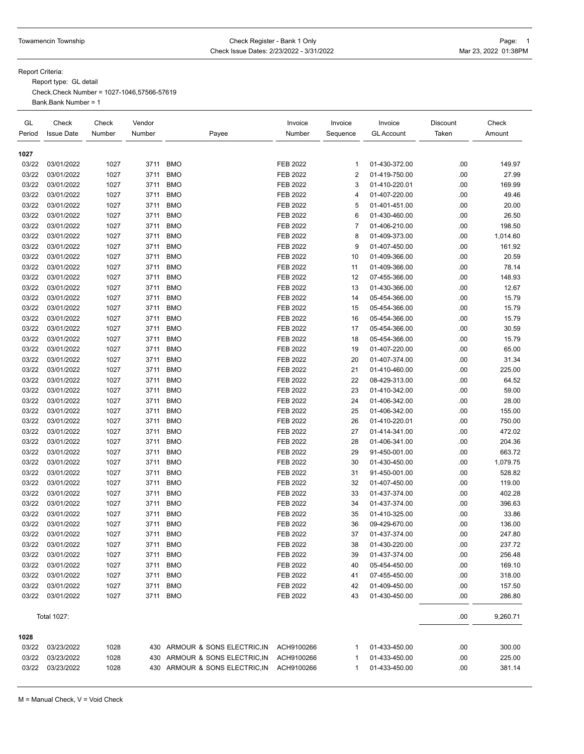### Towamencin Township **Check Register - Bank 1 Only** Check Register - Bank 1 Only Check Issue Dates: 2/23/2022 - 3/31/2022 Mar 23, 2022 01:38PM

Report Criteria:

Report type: GL detail

Check.Check Number = 1027-1046,57566-57619 Bank.Bank Number = 1

| GL<br>Period | Check<br><b>Issue Date</b> | Check<br>Number | Vendor<br>Number | Payee                          | Invoice<br>Number | Invoice<br>Sequence | Invoice<br><b>GL Account</b> | Discount<br>Taken | Check<br>Amount |
|--------------|----------------------------|-----------------|------------------|--------------------------------|-------------------|---------------------|------------------------------|-------------------|-----------------|
| 1027         |                            |                 |                  |                                |                   |                     |                              |                   |                 |
| 03/22        | 03/01/2022                 | 1027            | 3711             | <b>BMO</b>                     | <b>FEB 2022</b>   | 1                   | 01-430-372.00                | .00               | 149.97          |
| 03/22        | 03/01/2022                 | 1027            | 3711             | <b>BMO</b>                     | <b>FEB 2022</b>   | 2                   | 01-419-750.00                | .00               | 27.99           |
| 03/22        | 03/01/2022                 | 1027            | 3711             | <b>BMO</b>                     | <b>FEB 2022</b>   | 3                   | 01-410-220.01                | .00               | 169.99          |
| 03/22        | 03/01/2022                 | 1027            | 3711             | <b>BMO</b>                     | <b>FEB 2022</b>   | 4                   | 01-407-220.00                | .00               | 49.46           |
| 03/22        | 03/01/2022                 | 1027            | 3711             | <b>BMO</b>                     | <b>FEB 2022</b>   | 5                   | 01-401-451.00                | .00               | 20.00           |
| 03/22        | 03/01/2022                 | 1027            | 3711             | <b>BMO</b>                     | FEB 2022          | 6                   | 01-430-460.00                | .00               | 26.50           |
| 03/22        | 03/01/2022                 | 1027            | 3711             | <b>BMO</b>                     | <b>FEB 2022</b>   | 7                   | 01-406-210.00                | .00               | 198.50          |
| 03/22        | 03/01/2022                 | 1027            | 3711             | <b>BMO</b>                     | FEB 2022          | 8                   | 01-409-373.00                | .00               | 1,014.60        |
| 03/22        | 03/01/2022                 | 1027            | 3711             | <b>BMO</b>                     | FEB 2022          | 9                   | 01-407-450.00                | .00               | 161.92          |
| 03/22        | 03/01/2022                 | 1027            | 3711             | <b>BMO</b>                     | <b>FEB 2022</b>   | 10                  | 01-409-366.00                | .00               | 20.59           |
| 03/22        | 03/01/2022                 | 1027            | 3711             | <b>BMO</b>                     | FEB 2022          | 11                  | 01-409-366.00                | .00               | 78.14           |
| 03/22        | 03/01/2022                 | 1027            | 3711             | <b>BMO</b>                     | <b>FEB 2022</b>   | 12                  | 07-455-366.00                | .00               | 148.93          |
| 03/22        | 03/01/2022                 | 1027            | 3711             | <b>BMO</b>                     | <b>FEB 2022</b>   | 13                  | 01-430-366.00                | .00               | 12.67           |
| 03/22        | 03/01/2022                 | 1027            | 3711             | <b>BMO</b>                     | <b>FEB 2022</b>   | 14                  | 05-454-366.00                | .00               | 15.79           |
| 03/22        | 03/01/2022                 | 1027            | 3711             | <b>BMO</b>                     | <b>FEB 2022</b>   | 15                  | 05-454-366.00                | .00               | 15.79           |
| 03/22        | 03/01/2022                 | 1027            | 3711             | <b>BMO</b>                     | FEB 2022          | 16                  | 05-454-366.00                | .00               | 15.79           |
| 03/22        | 03/01/2022                 | 1027            | 3711             | <b>BMO</b>                     | FEB 2022          | 17                  | 05-454-366.00                | .00               | 30.59           |
| 03/22        | 03/01/2022                 | 1027            | 3711             | <b>BMO</b>                     | <b>FEB 2022</b>   | 18                  | 05-454-366.00                | .00               | 15.79           |
| 03/22        | 03/01/2022                 | 1027            | 3711             | <b>BMO</b>                     | <b>FEB 2022</b>   | 19                  | 01-407-220.00                | .00               | 65.00           |
| 03/22        | 03/01/2022                 | 1027            | 3711             | <b>BMO</b>                     | <b>FEB 2022</b>   | 20                  | 01-407-374.00                | .00               | 31.34           |
| 03/22        | 03/01/2022                 | 1027            | 3711             | <b>BMO</b>                     | <b>FEB 2022</b>   | 21                  | 01-410-460.00                | .00               | 225.00          |
| 03/22        | 03/01/2022                 | 1027            | 3711             | <b>BMO</b>                     | <b>FEB 2022</b>   | 22                  | 08-429-313.00                | .00               | 64.52           |
| 03/22        | 03/01/2022                 | 1027            | 3711             | <b>BMO</b>                     | <b>FEB 2022</b>   | 23                  | 01-410-342.00                | .00               | 59.00           |
| 03/22        | 03/01/2022                 | 1027            | 3711             | <b>BMO</b>                     | <b>FEB 2022</b>   | 24                  | 01-406-342.00                | .00               | 28.00           |
| 03/22        | 03/01/2022                 | 1027            | 3711             | <b>BMO</b>                     | <b>FEB 2022</b>   | 25                  | 01-406-342.00                | .00               | 155.00          |
| 03/22        | 03/01/2022                 | 1027            | 3711             | <b>BMO</b>                     | <b>FEB 2022</b>   | 26                  | 01-410-220.01                | .00               | 750.00          |
| 03/22        | 03/01/2022                 | 1027            | 3711             | <b>BMO</b>                     | FEB 2022          | 27                  | 01-414-341.00                | .00               | 472.02          |
| 03/22        | 03/01/2022                 | 1027            | 3711             | <b>BMO</b>                     | <b>FEB 2022</b>   | 28                  | 01-406-341.00                | .00               | 204.36          |
| 03/22        | 03/01/2022                 | 1027            | 3711             | <b>BMO</b>                     | <b>FEB 2022</b>   | 29                  | 91-450-001.00                | .00               | 663.72          |
| 03/22        | 03/01/2022                 | 1027            | 3711             | <b>BMO</b>                     | FEB 2022          | 30                  | 01-430-450.00                | .00               | 1,079.75        |
| 03/22        | 03/01/2022                 | 1027            | 3711             | <b>BMO</b>                     | <b>FEB 2022</b>   | 31                  | 91-450-001.00                | .00               | 528.82          |
| 03/22        | 03/01/2022                 | 1027            | 3711             | <b>BMO</b>                     | FEB 2022          | 32                  | 01-407-450.00                | .00               | 119.00          |
| 03/22        | 03/01/2022                 | 1027            | 3711             | <b>BMO</b>                     | <b>FEB 2022</b>   | 33                  | 01-437-374.00                | .00               | 402.28          |
| 03/22        | 03/01/2022                 | 1027            | 3711             | <b>BMO</b>                     | <b>FEB 2022</b>   | 34                  | 01-437-374.00                | .00               | 396.63          |
| 03/22        | 03/01/2022                 | 1027            | 3711             | <b>BMO</b>                     | <b>FEB 2022</b>   | 35                  | 01-410-325.00                | .00               | 33.86           |
| 03/22        | 03/01/2022                 | 1027            | 3711             | <b>BMO</b>                     | FEB 2022          | 36                  | 09-429-670.00                | .00               | 136.00          |
| 03/22        | 03/01/2022                 | 1027            | 3711             | BMO                            | FEB 2022          | 37                  | 01-437-374.00                | .00               | 247.80          |
| 03/22        | 03/01/2022                 | 1027            |                  | 3711 BMO                       | FEB 2022          | 38                  | 01-430-220.00                | .00               | 237.72          |
| 03/22        | 03/01/2022                 | 1027            |                  | 3711 BMO                       | <b>FEB 2022</b>   | 39                  | 01-437-374.00                | .00               | 256.48          |
| 03/22        | 03/01/2022                 | 1027            | 3711             | <b>BMO</b>                     | FEB 2022          | 40                  | 05-454-450.00                | .00               | 169.10          |
| 03/22        | 03/01/2022                 | 1027            | 3711             | <b>BMO</b>                     | FEB 2022          | 41                  | 07-455-450.00                | .00               | 318.00          |
| 03/22        | 03/01/2022                 | 1027            | 3711             | BMO                            | FEB 2022          | 42                  | 01-409-450.00                | .00               | 157.50          |
| 03/22        | 03/01/2022                 | 1027            |                  | 3711 BMO                       | FEB 2022          | 43                  | 01-430-450.00                | .00               | 286.80          |
|              | <b>Total 1027:</b>         |                 |                  |                                |                   |                     |                              | .00               | 9,260.71        |
| 1028         |                            |                 |                  |                                |                   |                     |                              |                   |                 |
| 03/22        | 03/23/2022                 | 1028            |                  | 430 ARMOUR & SONS ELECTRIC, IN | ACH9100266        | 1                   | 01-433-450.00                | .00               | 300.00          |
| 03/22        | 03/23/2022                 | 1028            |                  | 430 ARMOUR & SONS ELECTRIC, IN | ACH9100266        | 1                   | 01-433-450.00                | .00               | 225.00          |
| 03/22        | 03/23/2022                 | 1028            |                  | 430 ARMOUR & SONS ELECTRIC, IN | ACH9100266        | 1                   | 01-433-450.00                | .00               | 381.14          |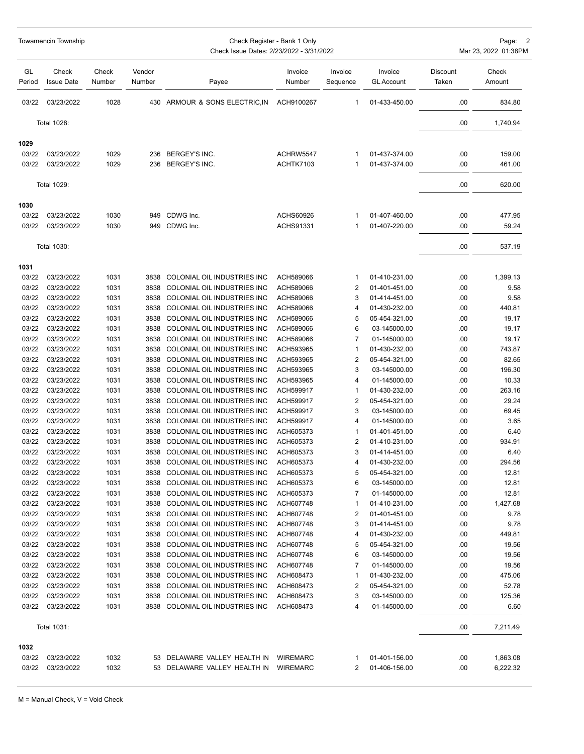|              | Towamencin Township        |                 | Check Register - Bank 1 Only<br>Check Issue Dates: 2/23/2022 - 3/31/2022 |                                  |                   |                         |                              |                   |                 |  |
|--------------|----------------------------|-----------------|--------------------------------------------------------------------------|----------------------------------|-------------------|-------------------------|------------------------------|-------------------|-----------------|--|
| GL<br>Period | Check<br><b>Issue Date</b> | Check<br>Number | Vendor<br>Number                                                         | Payee                            | Invoice<br>Number | Invoice<br>Sequence     | Invoice<br><b>GL Account</b> | Discount<br>Taken | Check<br>Amount |  |
| 03/22        | 03/23/2022                 | 1028            |                                                                          | 430 ARMOUR & SONS ELECTRIC, IN   | ACH9100267        | 1                       | 01-433-450.00                | .00               | 834.80          |  |
|              | <b>Total 1028:</b>         |                 |                                                                          |                                  |                   |                         |                              | .00               | 1,740.94        |  |
| 1029         |                            |                 |                                                                          |                                  |                   |                         |                              |                   |                 |  |
| 03/22        | 03/23/2022                 | 1029            | 236                                                                      | BERGEY'S INC.                    | ACHRW5547         | 1                       | 01-437-374.00                | .00               | 159.00          |  |
| 03/22        | 03/23/2022                 | 1029            | 236                                                                      | BERGEY'S INC.                    | ACHTK7103         | 1                       | 01-437-374.00                | .00               | 461.00          |  |
|              | Total 1029:                |                 |                                                                          |                                  |                   |                         |                              | .00               | 620.00          |  |
| 1030         |                            |                 |                                                                          |                                  |                   |                         |                              |                   |                 |  |
| 03/22        | 03/23/2022                 | 1030            | 949                                                                      | CDWG Inc.                        | ACHS60926         | 1                       | 01-407-460.00                | .00               | 477.95          |  |
| 03/22        | 03/23/2022                 | 1030            | 949                                                                      | CDWG Inc.                        | ACHS91331         | 1                       | 01-407-220.00                | .00               | 59.24           |  |
|              | <b>Total 1030:</b>         |                 |                                                                          |                                  |                   |                         |                              | .00               | 537.19          |  |
| 1031         |                            |                 |                                                                          |                                  |                   |                         |                              |                   |                 |  |
| 03/22        | 03/23/2022                 | 1031            | 3838                                                                     | COLONIAL OIL INDUSTRIES INC      | ACH589066         | 1                       | 01-410-231.00                | .00               | 1,399.13        |  |
| 03/22        | 03/23/2022                 | 1031            | 3838                                                                     | COLONIAL OIL INDUSTRIES INC      | ACH589066         | 2                       | 01-401-451.00                | .00               | 9.58            |  |
| 03/22        | 03/23/2022                 | 1031            | 3838                                                                     | COLONIAL OIL INDUSTRIES INC      | ACH589066         | 3                       | 01-414-451.00                | .00               | 9.58            |  |
| 03/22        | 03/23/2022                 | 1031            | 3838                                                                     | COLONIAL OIL INDUSTRIES INC      | ACH589066         | 4                       | 01-430-232.00                | .00               | 440.81          |  |
| 03/22        | 03/23/2022                 | 1031            | 3838                                                                     | COLONIAL OIL INDUSTRIES INC      | ACH589066         | 5                       | 05-454-321.00                | .00               | 19.17           |  |
| 03/22        | 03/23/2022                 | 1031            | 3838                                                                     | COLONIAL OIL INDUSTRIES INC      | ACH589066         | 6                       | 03-145000.00                 | .00               | 19.17           |  |
| 03/22        | 03/23/2022                 | 1031            | 3838                                                                     | COLONIAL OIL INDUSTRIES INC      | ACH589066         | 7                       | 01-145000.00                 | .00               | 19.17           |  |
| 03/22        | 03/23/2022                 | 1031            | 3838                                                                     | COLONIAL OIL INDUSTRIES INC      | ACH593965         | 1                       | 01-430-232.00                | .00               | 743.87          |  |
| 03/22        | 03/23/2022                 | 1031            | 3838                                                                     | COLONIAL OIL INDUSTRIES INC      | ACH593965         | $\overline{c}$          | 05-454-321.00                | .00               | 82.65           |  |
| 03/22        | 03/23/2022                 | 1031            | 3838                                                                     | COLONIAL OIL INDUSTRIES INC      | ACH593965         | 3                       | 03-145000.00                 | .00               | 196.30          |  |
| 03/22        | 03/23/2022                 | 1031            | 3838                                                                     | COLONIAL OIL INDUSTRIES INC      | ACH593965         | 4                       | 01-145000.00                 | .00               | 10.33           |  |
| 03/22        | 03/23/2022                 | 1031            | 3838                                                                     | COLONIAL OIL INDUSTRIES INC      | ACH599917         | 1                       | 01-430-232.00                | .00               | 263.16          |  |
| 03/22        | 03/23/2022                 | 1031            | 3838                                                                     | COLONIAL OIL INDUSTRIES INC      | ACH599917         | $\overline{c}$          | 05-454-321.00                | .00               | 29.24           |  |
| 03/22        | 03/23/2022                 | 1031            | 3838                                                                     | COLONIAL OIL INDUSTRIES INC      | ACH599917         | 3                       | 03-145000.00                 | .00               | 69.45           |  |
| 03/22        | 03/23/2022                 | 1031            | 3838                                                                     | COLONIAL OIL INDUSTRIES INC      | ACH599917         | 4                       | 01-145000.00                 | .00               | 3.65            |  |
| 03/22        | 03/23/2022                 | 1031            | 3838                                                                     | COLONIAL OIL INDUSTRIES INC      | ACH605373         | 1                       | 01-401-451.00                | .00               | 6.40            |  |
| 03/22        | 03/23/2022                 | 1031            | 3838                                                                     | COLONIAL OIL INDUSTRIES INC      | ACH605373         | 2                       | 01-410-231.00                | .00               | 934.91          |  |
| 03/22        | 03/23/2022                 | 1031            | 3838                                                                     | COLONIAL OIL INDUSTRIES INC      | ACH605373         | 3                       | 01-414-451.00                | .00               | 6.40            |  |
| 03/22        | 03/23/2022                 | 1031            |                                                                          | 3838 COLONIAL OIL INDUSTRIES INC | ACH605373         | 4                       | 01-430-232.00                | .00               | 294.56          |  |
| 03/22        | 03/23/2022                 | 1031            |                                                                          | 3838 COLONIAL OIL INDUSTRIES INC | ACH605373         | 5                       | 05-454-321.00                | .00               | 12.81           |  |
| 03/22        | 03/23/2022                 | 1031            |                                                                          | 3838 COLONIAL OIL INDUSTRIES INC | ACH605373         | 6                       | 03-145000.00                 | .00               | 12.81           |  |
| 03/22        | 03/23/2022                 | 1031            | 3838                                                                     | COLONIAL OIL INDUSTRIES INC      | ACH605373         | 7                       | 01-145000.00                 | .00               | 12.81           |  |
| 03/22        | 03/23/2022                 | 1031            |                                                                          | 3838 COLONIAL OIL INDUSTRIES INC | ACH607748         | 1                       | 01-410-231.00                | .00               | 1,427.68        |  |
| 03/22        | 03/23/2022                 | 1031            |                                                                          | 3838 COLONIAL OIL INDUSTRIES INC | ACH607748         | 2                       | 01-401-451.00                | .00               | 9.78            |  |
| 03/22        | 03/23/2022                 | 1031            |                                                                          | 3838 COLONIAL OIL INDUSTRIES INC | ACH607748         | 3                       | 01-414-451.00                | .00               | 9.78            |  |
| 03/22        | 03/23/2022                 | 1031            |                                                                          | 3838 COLONIAL OIL INDUSTRIES INC | ACH607748         | 4                       | 01-430-232.00                | .00               | 449.81          |  |
| 03/22        | 03/23/2022                 | 1031            |                                                                          | 3838 COLONIAL OIL INDUSTRIES INC | ACH607748         | 5                       | 05-454-321.00                | .00               | 19.56           |  |
| 03/22        | 03/23/2022                 | 1031            |                                                                          | 3838 COLONIAL OIL INDUSTRIES INC | ACH607748         | 6                       | 03-145000.00                 | .00               | 19.56           |  |
| 03/22        | 03/23/2022                 | 1031            |                                                                          | 3838 COLONIAL OIL INDUSTRIES INC | ACH607748         | 7                       | 01-145000.00                 | .00               | 19.56           |  |
| 03/22        | 03/23/2022                 | 1031            | 3838                                                                     | COLONIAL OIL INDUSTRIES INC      | ACH608473         | 1                       | 01-430-232.00                | .00               | 475.06          |  |
| 03/22        | 03/23/2022                 | 1031            |                                                                          | 3838 COLONIAL OIL INDUSTRIES INC | ACH608473         | $\overline{\mathbf{c}}$ | 05-454-321.00                | .00               | 52.78           |  |
| 03/22        | 03/23/2022                 | 1031            |                                                                          | 3838 COLONIAL OIL INDUSTRIES INC | ACH608473         | 3                       | 03-145000.00                 | .00               | 125.36          |  |
| 03/22        | 03/23/2022                 | 1031            |                                                                          | 3838 COLONIAL OIL INDUSTRIES INC | ACH608473         | 4                       | 01-145000.00                 | .00               | 6.60            |  |
|              | Total 1031:                |                 |                                                                          |                                  |                   |                         |                              | .00               | 7,211.49        |  |
| 1032         |                            |                 |                                                                          |                                  |                   |                         |                              |                   |                 |  |
| 03/22        | 03/23/2022                 | 1032            |                                                                          | 53 DELAWARE VALLEY HEALTH IN     | WIREMARC          | 1                       | 01-401-156.00                | .00               | 1,863.08        |  |
| 03/22        | 03/23/2022                 | 1032            |                                                                          | 53 DELAWARE VALLEY HEALTH IN     | <b>WIREMARC</b>   | 2                       | 01-406-156.00                | .00               | 6,222.32        |  |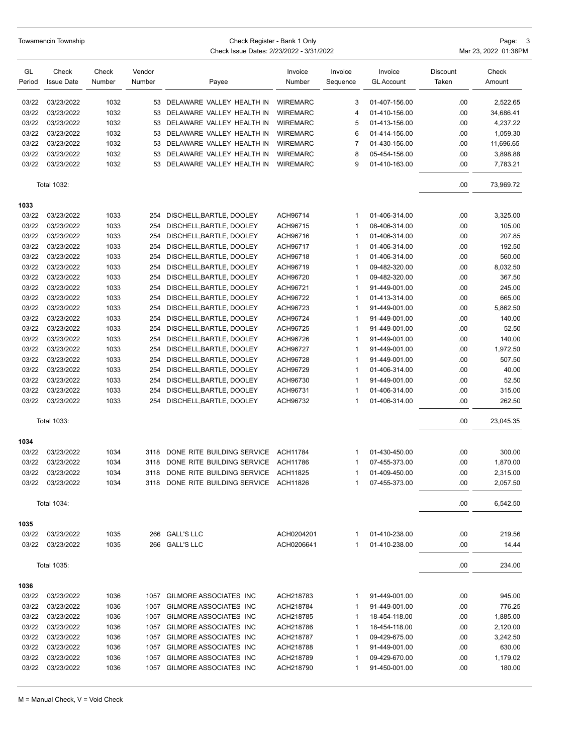|              | Towamencin Township        |                 |                  |                                          | Page: 3<br>Mar 23, 2022 01:38PM |                     |                              |                   |                 |
|--------------|----------------------------|-----------------|------------------|------------------------------------------|---------------------------------|---------------------|------------------------------|-------------------|-----------------|
| GL<br>Period | Check<br><b>Issue Date</b> | Check<br>Number | Vendor<br>Number | Payee                                    | Invoice<br>Number               | Invoice<br>Sequence | Invoice<br><b>GL Account</b> | Discount<br>Taken | Check<br>Amount |
| 03/22        | 03/23/2022                 | 1032            |                  | 53 DELAWARE VALLEY HEALTH IN             | <b>WIREMARC</b>                 | 3                   | 01-407-156.00                | .00               | 2,522.65        |
| 03/22        | 03/23/2022                 | 1032            | 53               | DELAWARE VALLEY HEALTH IN                | <b>WIREMARC</b>                 | 4                   | 01-410-156.00                | .00               | 34,686.41       |
| 03/22        | 03/23/2022                 | 1032            | 53               | DELAWARE VALLEY HEALTH IN                | <b>WIREMARC</b>                 | 5                   | 01-413-156.00                | .00               | 4,237.22        |
| 03/22        | 03/23/2022                 | 1032            | 53               | DELAWARE VALLEY HEALTH IN                | <b>WIREMARC</b>                 | 6                   | 01-414-156.00                | .00               | 1,059.30        |
| 03/22        | 03/23/2022                 | 1032            | 53               | DELAWARE VALLEY HEALTH IN                | <b>WIREMARC</b>                 | 7                   | 01-430-156.00                | .00               | 11,696.65       |
| 03/22        | 03/23/2022                 | 1032            | 53               | DELAWARE VALLEY HEALTH IN                | <b>WIREMARC</b>                 | 8                   | 05-454-156.00                | .00               | 3,898.88        |
| 03/22        | 03/23/2022                 | 1032            | 53               | DELAWARE VALLEY HEALTH IN                | <b>WIREMARC</b>                 | 9                   | 01-410-163.00                | .00               | 7,783.21        |
|              | <b>Total 1032:</b>         |                 |                  |                                          |                                 |                     |                              | .00               | 73,969.72       |
| 1033         |                            |                 |                  |                                          |                                 |                     |                              |                   |                 |
| 03/22        | 03/23/2022                 | 1033            | 254              | DISCHELL, BARTLE, DOOLEY                 | ACH96714                        | $\mathbf 1$         | 01-406-314.00                | .00               | 3,325.00        |
| 03/22        | 03/23/2022                 | 1033            | 254              | DISCHELL, BARTLE, DOOLEY                 | ACH96715                        | $\mathbf{1}$        | 08-406-314.00                | .00               | 105.00          |
| 03/22        | 03/23/2022                 | 1033            | 254              | DISCHELL, BARTLE, DOOLEY                 | ACH96716                        | 1                   | 01-406-314.00                | .00               | 207.85          |
| 03/22        | 03/23/2022                 | 1033            | 254              | DISCHELL, BARTLE, DOOLEY                 | ACH96717                        | $\mathbf{1}$        | 01-406-314.00                | .00               | 192.50          |
| 03/22        | 03/23/2022                 | 1033            | 254              | DISCHELL, BARTLE, DOOLEY                 | ACH96718                        | $\mathbf{1}$        | 01-406-314.00                | .00               | 560.00          |
| 03/22        | 03/23/2022                 | 1033            | 254              | DISCHELL, BARTLE, DOOLEY                 | ACH96719                        | $\mathbf{1}$        | 09-482-320.00                | .00               | 8,032.50        |
| 03/22        | 03/23/2022                 | 1033            | 254              | DISCHELL, BARTLE, DOOLEY                 | ACH96720                        | $\mathbf{1}$        | 09-482-320.00                | .00               | 367.50          |
| 03/22        | 03/23/2022                 | 1033            | 254              | DISCHELL, BARTLE, DOOLEY                 | ACH96721                        | 1                   | 91-449-001.00                | .00               | 245.00          |
| 03/22        | 03/23/2022                 | 1033            | 254              | DISCHELL, BARTLE, DOOLEY                 | ACH96722                        | $\mathbf{1}$        | 01-413-314.00                | .00               | 665.00          |
| 03/22        | 03/23/2022                 | 1033            | 254              | DISCHELL, BARTLE, DOOLEY                 | ACH96723                        | $\mathbf{1}$        | 91-449-001.00                | .00               | 5,862.50        |
| 03/22        | 03/23/2022                 | 1033            | 254              | DISCHELL, BARTLE, DOOLEY                 | ACH96724                        | $\mathbf{1}$        | 91-449-001.00                | .00               | 140.00          |
| 03/22        | 03/23/2022                 | 1033            | 254              | DISCHELL, BARTLE, DOOLEY                 | ACH96725                        | $\mathbf 1$         | 91-449-001.00                | .00               | 52.50           |
| 03/22        | 03/23/2022                 | 1033            | 254              | DISCHELL, BARTLE, DOOLEY                 | ACH96726                        | 1                   | 91-449-001.00                | .00               | 140.00          |
| 03/22        | 03/23/2022                 | 1033            | 254              | DISCHELL, BARTLE, DOOLEY                 | ACH96727                        | $\mathbf{1}$        | 91-449-001.00                | .00               | 1,972.50        |
| 03/22        | 03/23/2022                 | 1033            | 254              | DISCHELL, BARTLE, DOOLEY                 | ACH96728                        | $\mathbf{1}$        | 91-449-001.00                | .00               | 507.50          |
| 03/22        | 03/23/2022                 | 1033            | 254              | DISCHELL, BARTLE, DOOLEY                 | ACH96729                        | 1                   | 01-406-314.00                | .00               | 40.00           |
| 03/22        | 03/23/2022                 | 1033            | 254              | DISCHELL, BARTLE, DOOLEY                 | ACH96730                        | $\mathbf 1$         | 91-449-001.00                | .00               | 52.50           |
| 03/22        | 03/23/2022                 | 1033            | 254              | DISCHELL, BARTLE, DOOLEY                 | ACH96731                        | 1                   | 01-406-314.00                | .00               | 315.00          |
| 03/22        | 03/23/2022                 | 1033            | 254              | DISCHELL, BARTLE, DOOLEY                 | ACH96732                        | 1                   | 01-406-314.00                | .00               | 262.50          |
|              | <b>Total 1033:</b>         |                 |                  |                                          |                                 |                     |                              | .00               | 23,045.35       |
| 1034         |                            |                 |                  |                                          |                                 |                     |                              |                   |                 |
| 03/22        | 03/23/2022                 | 1034            |                  | 3118 DONE RITE BUILDING SERVICE ACH11784 |                                 | 1                   | 01-430-450.00                | .00               | 300.00          |
|              | 03/22 03/23/2022           | 1034            |                  | 3118 DONE RITE BUILDING SERVICE ACH11786 |                                 |                     | 07-455-373.00                | .00               | 1,870.00        |
| 03/22        | 03/23/2022                 | 1034            |                  | 3118 DONE RITE BUILDING SERVICE ACH11825 |                                 | 1                   | 01-409-450.00                | .00               | 2,315.00        |
| 03/22        | 03/23/2022                 | 1034            |                  | 3118 DONE RITE BUILDING SERVICE ACH11826 |                                 | 1                   | 07-455-373.00                | .00               | 2,057.50        |
|              | <b>Total 1034:</b>         |                 |                  |                                          |                                 |                     |                              | .00               | 6,542.50        |
| 1035         |                            |                 |                  |                                          |                                 |                     |                              |                   |                 |
| 03/22        | 03/23/2022                 | 1035            |                  | 266 GALL'S LLC                           | ACH0204201                      | 1                   | 01-410-238.00                | .00               | 219.56          |
| 03/22        | 03/23/2022                 | 1035            |                  | 266 GALL'S LLC                           | ACH0206641                      | $\mathbf{1}$        | 01-410-238.00                | .00               | 14.44           |
|              | <b>Total 1035:</b>         |                 |                  |                                          |                                 |                     |                              | .00               | 234.00          |
| 1036         |                            |                 |                  |                                          |                                 |                     |                              |                   |                 |
| 03/22        | 03/23/2022                 | 1036            |                  | 1057 GILMORE ASSOCIATES INC              | ACH218783                       | 1                   | 91-449-001.00                | .00               | 945.00          |
| 03/22        | 03/23/2022                 | 1036            |                  | 1057 GILMORE ASSOCIATES INC              | ACH218784                       | 1                   | 91-449-001.00                | .00               | 776.25          |
| 03/22        | 03/23/2022                 | 1036            |                  | 1057 GILMORE ASSOCIATES INC              | ACH218785                       | 1                   | 18-454-118.00                | .00               | 1,885.00        |
| 03/22        | 03/23/2022                 | 1036            |                  | 1057 GILMORE ASSOCIATES INC              | ACH218786                       | 1                   | 18-454-118.00                | .00               | 2,120.00        |
| 03/22        | 03/23/2022                 | 1036            |                  | 1057 GILMORE ASSOCIATES INC              | ACH218787                       | 1                   | 09-429-675.00                | .00               | 3,242.50        |
| 03/22        | 03/23/2022                 | 1036            |                  | 1057 GILMORE ASSOCIATES INC              | ACH218788                       | 1                   | 91-449-001.00                | .00               | 630.00          |
| 03/22        | 03/23/2022                 | 1036            |                  | 1057 GILMORE ASSOCIATES INC              | ACH218789                       | 1                   | 09-429-670.00                | .00               | 1,179.02        |
| 03/22        | 03/23/2022                 | 1036            |                  | 1057 GILMORE ASSOCIATES INC              | ACH218790                       | 1                   | 91-450-001.00                | .00               | 180.00          |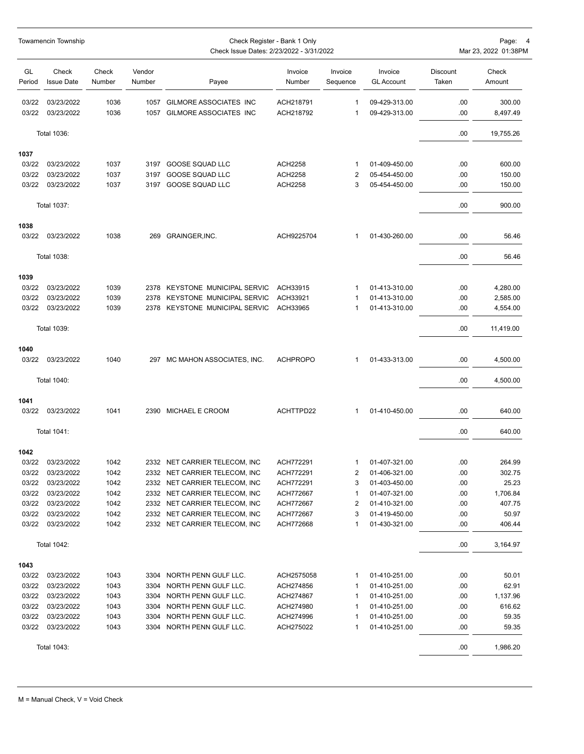|                | Towamencin Township        |                 | Check Register - Bank 1 Only<br>Check Issue Dates: 2/23/2022 - 3/31/2022 |                                                  |                        |                     |                                |                   |                    |  |
|----------------|----------------------------|-----------------|--------------------------------------------------------------------------|--------------------------------------------------|------------------------|---------------------|--------------------------------|-------------------|--------------------|--|
| GL<br>Period   | Check<br><b>Issue Date</b> | Check<br>Number | Vendor<br>Number                                                         | Payee                                            | Invoice<br>Number      | Invoice<br>Sequence | Invoice<br><b>GL Account</b>   | Discount<br>Taken | Check<br>Amount    |  |
| 03/22<br>03/22 | 03/23/2022<br>03/23/2022   | 1036<br>1036    | 1057<br>1057                                                             | GILMORE ASSOCIATES INC<br>GILMORE ASSOCIATES INC | ACH218791<br>ACH218792 | 1<br>1              | 09-429-313.00<br>09-429-313.00 | .00.<br>.00       | 300.00<br>8,497.49 |  |
|                | Total 1036:                |                 |                                                                          |                                                  |                        |                     |                                | .00.              | 19,755.26          |  |
| 1037           |                            |                 |                                                                          |                                                  |                        |                     |                                |                   |                    |  |
| 03/22          | 03/23/2022                 | 1037            | 3197                                                                     | GOOSE SQUAD LLC                                  | <b>ACH2258</b>         | 1                   | 01-409-450.00                  | .00.              | 600.00             |  |
| 03/22          | 03/23/2022                 | 1037            | 3197                                                                     | <b>GOOSE SQUAD LLC</b>                           | <b>ACH2258</b>         | $\overline{2}$      | 05-454-450.00                  | .00               | 150.00             |  |
| 03/22          | 03/23/2022                 | 1037            | 3197                                                                     | GOOSE SQUAD LLC                                  | <b>ACH2258</b>         | 3                   | 05-454-450.00                  | .00               | 150.00             |  |
|                | <b>Total 1037:</b>         |                 |                                                                          |                                                  |                        |                     |                                | .00               | 900.00             |  |
| 1038           |                            |                 |                                                                          |                                                  |                        |                     |                                |                   |                    |  |
| 03/22          | 03/23/2022                 | 1038            |                                                                          | 269 GRAINGER, INC.                               | ACH9225704             | 1                   | 01-430-260.00                  | .00.              | 56.46              |  |
|                | <b>Total 1038:</b>         |                 |                                                                          |                                                  |                        |                     |                                | .00.              | 56.46              |  |
| 1039           |                            |                 |                                                                          |                                                  |                        |                     |                                |                   |                    |  |
| 03/22          | 03/23/2022                 | 1039            |                                                                          | 2378 KEYSTONE MUNICIPAL SERVIC                   | ACH33915               | 1                   | 01-413-310.00                  | .00.              | 4,280.00           |  |
| 03/22          | 03/23/2022                 | 1039            |                                                                          | 2378 KEYSTONE MUNICIPAL SERVIC                   | ACH33921               | 1                   | 01-413-310.00                  | .00               | 2,585.00           |  |
| 03/22          | 03/23/2022                 | 1039            |                                                                          | 2378 KEYSTONE MUNICIPAL SERVIC                   | ACH33965               | 1                   | 01-413-310.00                  | .00.              | 4,554.00           |  |
|                | <b>Total 1039:</b>         |                 |                                                                          |                                                  |                        |                     |                                | .00.              | 11,419.00          |  |
| 1040           |                            |                 |                                                                          |                                                  |                        |                     |                                |                   |                    |  |
| 03/22          | 03/23/2022                 | 1040            | 297                                                                      | MC MAHON ASSOCIATES, INC.                        | <b>ACHPROPO</b>        | 1                   | 01-433-313.00                  | .00.              | 4,500.00           |  |
|                | Total 1040:                |                 |                                                                          |                                                  |                        |                     |                                | .00.              | 4,500.00           |  |
| 1041           |                            |                 |                                                                          |                                                  |                        |                     |                                |                   |                    |  |
| 03/22          | 03/23/2022                 | 1041            |                                                                          | 2390 MICHAEL E CROOM                             | ACHTTPD22              | 1                   | 01-410-450.00                  | .00.              | 640.00             |  |
|                | Total 1041:                |                 |                                                                          |                                                  |                        |                     |                                | .00.              | 640.00             |  |
| 1042           |                            |                 |                                                                          |                                                  |                        |                     |                                |                   |                    |  |
| 03/22          | 03/23/2022                 | 1042            |                                                                          | 2332 NET CARRIER TELECOM, INC                    | ACH772291              |                     | 01-407-321.00                  | .00               | 264.99             |  |
| 03/22          | 03/23/2022                 | 1042            |                                                                          | 2332 NET CARRIER TELECOM, INC                    | ACH772291              | 2                   | 01-406-321.00                  | .00               | 302.75             |  |
| 03/22          | 03/23/2022                 | 1042            |                                                                          | 2332 NET CARRIER TELECOM, INC                    | ACH772291              | 3                   | 01-403-450.00                  | .00               | 25.23              |  |
| 03/22          | 03/23/2022                 | 1042            |                                                                          | 2332 NET CARRIER TELECOM, INC                    | ACH772667              | 1                   | 01-407-321.00                  | .00               | 1,706.84           |  |
| 03/22          | 03/23/2022                 | 1042            |                                                                          | 2332 NET CARRIER TELECOM, INC                    | ACH772667              | 2                   | 01-410-321.00                  | .00               | 407.75             |  |
| 03/22          | 03/23/2022                 | 1042            |                                                                          | 2332 NET CARRIER TELECOM, INC                    | ACH772667              | 3                   | 01-419-450.00                  | .00               | 50.97              |  |
| 03/22          | 03/23/2022                 | 1042            |                                                                          | 2332 NET CARRIER TELECOM, INC                    | ACH772668              | 1                   | 01-430-321.00                  | .00               | 406.44             |  |
|                | Total 1042:                |                 |                                                                          |                                                  |                        |                     |                                | .00               | 3,164.97           |  |
| 1043           |                            |                 |                                                                          |                                                  |                        |                     |                                |                   |                    |  |
| 03/22          | 03/23/2022                 | 1043            |                                                                          | 3304 NORTH PENN GULF LLC.                        | ACH2575058             | 1                   | 01-410-251.00                  | .00               | 50.01              |  |
| 03/22          | 03/23/2022                 | 1043            |                                                                          | 3304 NORTH PENN GULF LLC.                        | ACH274856              | 1                   | 01-410-251.00                  | .00               | 62.91              |  |
| 03/22          | 03/23/2022                 | 1043            |                                                                          | 3304 NORTH PENN GULF LLC.                        | ACH274867              | 1                   | 01-410-251.00                  | .00               | 1,137.96           |  |
| 03/22          | 03/23/2022                 | 1043            |                                                                          | 3304 NORTH PENN GULF LLC.                        | ACH274980              | 1                   | 01-410-251.00                  | .00               | 616.62             |  |
| 03/22          | 03/23/2022                 | 1043            |                                                                          | 3304 NORTH PENN GULF LLC.                        | ACH274996              | 1                   | 01-410-251.00                  | .00               | 59.35              |  |
| 03/22          | 03/23/2022                 | 1043            |                                                                          | 3304 NORTH PENN GULF LLC.                        | ACH275022              | 1                   | 01-410-251.00                  | .00               | 59.35              |  |
|                | <b>Total 1043:</b>         |                 |                                                                          |                                                  |                        |                     |                                | .00               | 1,986.20           |  |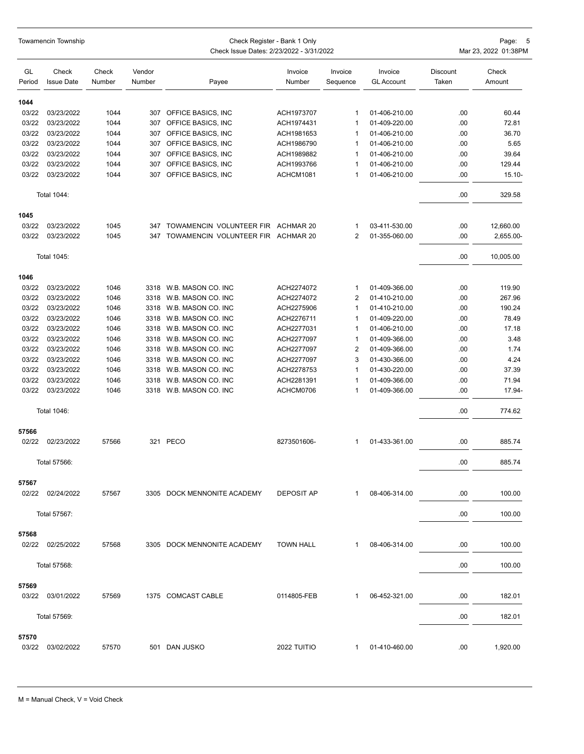|                | Towamencin Township        |                 | Check Register - Bank 1 Only<br>Check Issue Dates: 2/23/2022 - 3/31/2022<br>Mar 23, 2022 01:38PM |                                        |                   |                     |                              |                          |                 |  |
|----------------|----------------------------|-----------------|--------------------------------------------------------------------------------------------------|----------------------------------------|-------------------|---------------------|------------------------------|--------------------------|-----------------|--|
| GL<br>Period   | Check<br><b>Issue Date</b> | Check<br>Number | Vendor<br>Number                                                                                 | Payee                                  | Invoice<br>Number | Invoice<br>Sequence | Invoice<br><b>GL Account</b> | <b>Discount</b><br>Taken | Check<br>Amount |  |
| 1044           |                            |                 |                                                                                                  |                                        |                   |                     |                              |                          |                 |  |
| 03/22          | 03/23/2022                 | 1044            | 307                                                                                              | OFFICE BASICS, INC                     | ACH1973707        | 1                   | 01-406-210.00                | .00                      | 60.44           |  |
| 03/22          | 03/23/2022                 | 1044            | 307                                                                                              | OFFICE BASICS, INC                     | ACH1974431        | 1                   | 01-409-220.00                | .00                      | 72.81           |  |
| 03/22          | 03/23/2022                 | 1044            | 307                                                                                              | OFFICE BASICS, INC                     | ACH1981653        | 1                   | 01-406-210.00                | .00                      | 36.70           |  |
| 03/22          | 03/23/2022                 | 1044            | 307                                                                                              | OFFICE BASICS, INC                     | ACH1986790        | $\mathbf{1}$        | 01-406-210.00                | .00                      | 5.65            |  |
| 03/22          | 03/23/2022                 | 1044            | 307                                                                                              | OFFICE BASICS, INC                     | ACH1989882        | 1                   | 01-406-210.00                | .00                      | 39.64           |  |
| 03/22          | 03/23/2022                 | 1044            | 307                                                                                              | OFFICE BASICS, INC                     | ACH1993766        | 1                   | 01-406-210.00                | .00                      | 129.44          |  |
| 03/22          | 03/23/2022                 | 1044            | 307                                                                                              | OFFICE BASICS, INC                     | ACHCM1081         | 1                   | 01-406-210.00                | .00                      | $15.10 -$       |  |
|                | Total 1044:                |                 |                                                                                                  |                                        |                   |                     |                              | .00                      | 329.58          |  |
| 1045           |                            |                 |                                                                                                  |                                        |                   |                     |                              |                          |                 |  |
| 03/22          | 03/23/2022                 | 1045            | 347                                                                                              | TOWAMENCIN VOLUNTEER FIR ACHMAR 20     |                   | 1                   | 03-411-530.00                | .00                      | 12,660.00       |  |
| 03/22          | 03/23/2022                 | 1045            |                                                                                                  | 347 TOWAMENCIN VOLUNTEER FIR ACHMAR 20 |                   | 2                   | 01-355-060.00                | .00                      | 2,655.00-       |  |
|                | Total 1045:                |                 |                                                                                                  |                                        |                   |                     |                              | .00                      | 10,005.00       |  |
| 1046           |                            |                 |                                                                                                  |                                        |                   |                     |                              |                          |                 |  |
| 03/22          | 03/23/2022                 | 1046            | 3318                                                                                             | W.B. MASON CO. INC                     | ACH2274072        | 1                   | 01-409-366.00                | .00                      | 119.90          |  |
| 03/22          | 03/23/2022                 | 1046            | 3318                                                                                             | W.B. MASON CO. INC                     | ACH2274072        | 2                   | 01-410-210.00                | .00                      | 267.96          |  |
| 03/22          | 03/23/2022                 | 1046            | 3318                                                                                             | W.B. MASON CO. INC                     | ACH2275906        | 1                   | 01-410-210.00                | .00                      | 190.24          |  |
| 03/22          | 03/23/2022                 | 1046            | 3318                                                                                             | W.B. MASON CO. INC                     | ACH2276711        | 1                   | 01-409-220.00                | .00                      | 78.49           |  |
| 03/22          | 03/23/2022                 | 1046            | 3318                                                                                             | W.B. MASON CO. INC                     | ACH2277031        | 1                   | 01-406-210.00                | .00                      | 17.18           |  |
| 03/22          | 03/23/2022                 | 1046            | 3318                                                                                             | W.B. MASON CO. INC                     | ACH2277097        | 1                   | 01-409-366.00                | .00                      | 3.48            |  |
| 03/22          | 03/23/2022                 | 1046            | 3318                                                                                             | W.B. MASON CO. INC                     | ACH2277097        | 2                   | 01-409-366.00                | .00                      | 1.74            |  |
| 03/22          | 03/23/2022                 | 1046            | 3318                                                                                             | W.B. MASON CO. INC                     | ACH2277097        | 3                   | 01-430-366.00                | .00                      | 4.24            |  |
| 03/22          | 03/23/2022                 | 1046            | 3318                                                                                             | W.B. MASON CO. INC                     | ACH2278753        | 1                   | 01-430-220.00                | .00                      | 37.39           |  |
| 03/22          | 03/23/2022                 | 1046            | 3318                                                                                             | W.B. MASON CO. INC                     | ACH2281391        | 1                   | 01-409-366.00                | .00                      | 71.94           |  |
| 03/22          | 03/23/2022                 | 1046            | 3318                                                                                             | W.B. MASON CO. INC                     | ACHCM0706         | 1                   | 01-409-366.00                | .00                      | 17.94-          |  |
|                | <b>Total 1046:</b>         |                 |                                                                                                  |                                        |                   |                     |                              | .00                      | 774.62          |  |
| 57566          |                            |                 |                                                                                                  |                                        |                   |                     |                              |                          |                 |  |
| 02/22          | 02/23/2022                 | 57566           | 321                                                                                              | PECO                                   | 8273501606-       | 1                   | 01-433-361.00                | .00                      | 885.74          |  |
|                | Total 57566:               |                 |                                                                                                  |                                        |                   |                     |                              | .00                      | 885.74          |  |
| 57567          |                            |                 |                                                                                                  |                                        |                   |                     |                              |                          |                 |  |
| 02/22          | 02/24/2022                 | 57567           |                                                                                                  | 3305 DOCK MENNONITE ACADEMY            | <b>DEPOSIT AP</b> | 1                   | 08-406-314.00                | .00                      | 100.00          |  |
|                | Total 57567:               |                 |                                                                                                  |                                        |                   |                     |                              | .00                      | 100.00          |  |
| 57568          |                            |                 |                                                                                                  |                                        |                   |                     |                              |                          |                 |  |
| 02/22          | 02/25/2022                 | 57568           |                                                                                                  | 3305 DOCK MENNONITE ACADEMY            | <b>TOWN HALL</b>  | -1                  | 08-406-314.00                | .00                      | 100.00          |  |
|                | Total 57568:               |                 |                                                                                                  |                                        |                   |                     |                              | .00                      | 100.00          |  |
| 57569<br>03/22 | 03/01/2022                 | 57569           |                                                                                                  | 1375 COMCAST CABLE                     | 0114805-FEB       | 1                   | 06-452-321.00                | .00                      | 182.01          |  |
|                | Total 57569:               |                 |                                                                                                  |                                        |                   |                     |                              | .00                      | 182.01          |  |
|                |                            |                 |                                                                                                  |                                        |                   |                     |                              |                          |                 |  |
| 57570<br>03/22 | 03/02/2022                 | 57570           |                                                                                                  | 501 DAN JUSKO                          | 2022 TUITIO       | 1                   | 01-410-460.00                | .00                      | 1,920.00        |  |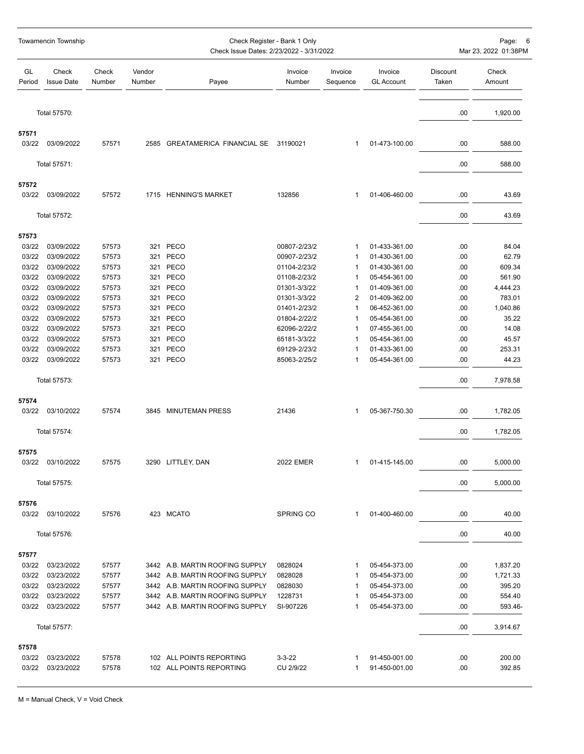|                | Towamencin Township        |                 |                  |                                         | Page: 6<br>Mar 23, 2022 01:38PM |                     |                              |                   |                 |
|----------------|----------------------------|-----------------|------------------|-----------------------------------------|---------------------------------|---------------------|------------------------------|-------------------|-----------------|
| GL<br>Period   | Check<br><b>Issue Date</b> | Check<br>Number | Vendor<br>Number | Payee                                   | Invoice<br>Number               | Invoice<br>Sequence | Invoice<br><b>GL Account</b> | Discount<br>Taken | Check<br>Amount |
|                | Total 57570:               |                 |                  |                                         |                                 |                     |                              | .00               | 1,920.00        |
| 57571          |                            |                 |                  |                                         |                                 |                     |                              |                   |                 |
| 03/22          | 03/09/2022                 | 57571           |                  | 2585 GREATAMERICA FINANCIAL SE 31190021 |                                 | 1                   | 01-473-100.00                | .00               | 588.00          |
|                | Total 57571:               |                 |                  |                                         |                                 |                     |                              | .00               | 588.00          |
| 57572          |                            |                 |                  |                                         |                                 |                     |                              |                   |                 |
| 03/22          | 03/09/2022                 | 57572           |                  | 1715 HENNING'S MARKET                   | 132856                          | $\mathbf{1}$        | 01-406-460.00                | .00               | 43.69           |
|                | Total 57572:               |                 |                  |                                         |                                 |                     |                              | .00               | 43.69           |
| 57573          |                            |                 |                  |                                         |                                 |                     |                              |                   |                 |
| 03/22          | 03/09/2022                 | 57573           |                  | 321 PECO                                | 00807-2/23/2                    | $\mathbf{1}$        | 01-433-361.00                | .00               | 84.04           |
| 03/22          | 03/09/2022                 | 57573           |                  | 321 PECO                                | 00907-2/23/2                    | $\mathbf 1$         | 01-430-361.00                | .00               | 62.79           |
| 03/22          | 03/09/2022                 | 57573           |                  | 321 PECO                                | 01104-2/23/2                    | 1                   | 01-430-361.00                | .00               | 609.34          |
| 03/22          | 03/09/2022                 | 57573           | 321              | PECO                                    | 01108-2/23/2                    | $\mathbf 1$         | 05-454-361.00                | .00               | 561.90          |
| 03/22          | 03/09/2022                 | 57573           |                  | 321 PECO                                | 01301-3/3/22                    | 1                   | 01-409-361.00                | .00               | 4,444.23        |
| 03/22          | 03/09/2022                 | 57573           |                  | 321 PECO                                | 01301-3/3/22                    | $\overline{2}$      | 01-409-362.00                | .00               | 783.01          |
| 03/22          | 03/09/2022                 | 57573           |                  | 321 PECO                                | 01401-2/23/2                    | $\mathbf{1}$        | 06-452-361.00                | .00               | 1,040.86        |
| 03/22          | 03/09/2022                 | 57573           |                  | 321 PECO                                | 01804-2/22/2                    | 1                   | 05-454-361.00                | .00               | 35.22           |
| 03/22          | 03/09/2022                 | 57573           | 321              | PECO                                    | 62096-2/22/2                    | $\mathbf{1}$        | 07-455-361.00                | .00               | 14.08           |
| 03/22          | 03/09/2022                 | 57573           |                  | 321 PECO                                | 65181-3/3/22                    | 1                   | 05-454-361.00                | .00               | 45.57           |
| 03/22          | 03/09/2022                 | 57573           |                  | 321 PECO                                | 69129-2/23/2                    | $\mathbf{1}$        | 01-433-361.00                | .00               | 253.31          |
| 03/22          | 03/09/2022                 | 57573           |                  | 321 PECO                                | 85063-2/25/2                    | 1                   | 05-454-361.00                | .00               | 44.23           |
|                | Total 57573:               |                 |                  |                                         |                                 |                     |                              | .00               | 7,978.58        |
| 57574          |                            |                 |                  |                                         |                                 |                     |                              |                   |                 |
| 03/22          | 03/10/2022                 | 57574           |                  | 3845 MINUTEMAN PRESS                    | 21436                           | $\mathbf{1}$        | 05-367-750.30                | .00               | 1,782.05        |
|                | Total 57574:               |                 |                  |                                         |                                 |                     |                              | .00               | 1,782.05        |
| 57575          |                            |                 |                  |                                         |                                 |                     |                              |                   |                 |
|                | 03/22 03/10/2022           | 57575           |                  | 3290 LITTLEY, DAN                       | <b>2022 EMER</b>                |                     | 01-415-145.00                | .00               | 5,000.00        |
|                | Total 57575:               |                 |                  |                                         |                                 |                     |                              | .00               | 5,000.00        |
|                |                            |                 |                  |                                         |                                 |                     |                              |                   |                 |
| 57576<br>03/22 | 03/10/2022                 | 57576           |                  | 423 MCATO                               | <b>SPRING CO</b>                | $\mathbf{1}$        | 01-400-460.00                | .00               | 40.00           |
|                | Total 57576:               |                 |                  |                                         |                                 |                     |                              | .00               | 40.00           |
| 57577          |                            |                 |                  |                                         |                                 |                     |                              |                   |                 |
| 03/22          | 03/23/2022                 | 57577           |                  | 3442 A.B. MARTIN ROOFING SUPPLY         | 0828024                         | 1                   | 05-454-373.00                | .00               | 1,837.20        |
| 03/22          | 03/23/2022                 | 57577           |                  | 3442 A.B. MARTIN ROOFING SUPPLY         | 0828028                         | $\mathbf{1}$        | 05-454-373.00                | .00               | 1,721.33        |
| 03/22          | 03/23/2022                 | 57577           |                  | 3442 A.B. MARTIN ROOFING SUPPLY         | 0828030                         | $\mathbf{1}$        | 05-454-373.00                | .00               | 395.20          |
| 03/22          | 03/23/2022                 | 57577           |                  | 3442 A.B. MARTIN ROOFING SUPPLY         | 1228731                         | 1                   | 05-454-373.00                | .00               | 554.40          |
| 03/22          | 03/23/2022                 | 57577           |                  | 3442 A.B. MARTIN ROOFING SUPPLY         | SI-907226                       | 1                   | 05-454-373.00                | .00               | 593.46-         |
|                | Total 57577:               |                 |                  |                                         |                                 |                     |                              | .00               | 3,914.67        |
|                |                            |                 |                  |                                         |                                 |                     |                              |                   |                 |
| 57578<br>03/22 | 03/23/2022                 | 57578           |                  | 102 ALL POINTS REPORTING                | $3 - 3 - 22$                    | -1                  | 91-450-001.00                | .00               | 200.00          |
| 03/22          | 03/23/2022                 | 57578           |                  | 102 ALL POINTS REPORTING                | CU 2/9/22                       | 1                   | 91-450-001.00                | .00               | 392.85          |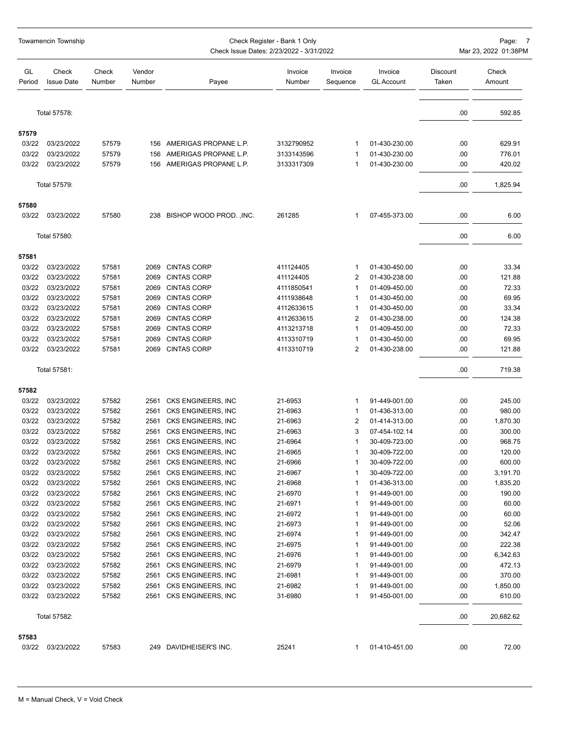|                | Towamencin Township        |                 |                  | Check Register - Bank 1 Only<br>Check Issue Dates: 2/23/2022 - 3/31/2022 |                          | Page: 7<br>Mar 23, 2022 01:38PM |                              |                   |                  |
|----------------|----------------------------|-----------------|------------------|--------------------------------------------------------------------------|--------------------------|---------------------------------|------------------------------|-------------------|------------------|
| GL<br>Period   | Check<br><b>Issue Date</b> | Check<br>Number | Vendor<br>Number | Payee                                                                    | Invoice<br>Number        | Invoice<br>Sequence             | Invoice<br><b>GL Account</b> | Discount<br>Taken | Check<br>Amount  |
|                | Total 57578:               |                 |                  |                                                                          |                          |                                 |                              | .00               | 592.85           |
|                |                            |                 |                  |                                                                          |                          |                                 |                              |                   |                  |
| 57579          |                            |                 |                  |                                                                          |                          |                                 | 01-430-230.00                |                   |                  |
| 03/22<br>03/22 | 03/23/2022<br>03/23/2022   | 57579<br>57579  | 156              | 156 AMERIGAS PROPANE L.P.<br>AMERIGAS PROPANE L.P.                       | 3132790952<br>3133143596 | 1                               | 01-430-230.00                | .00<br>.00        | 629.91<br>776.01 |
| 03/22          | 03/23/2022                 | 57579           |                  | 156 AMERIGAS PROPANE L.P.                                                | 3133317309               | 1<br>1                          | 01-430-230.00                | .00               | 420.02           |
|                |                            |                 |                  |                                                                          |                          |                                 |                              |                   |                  |
|                | Total 57579:               |                 |                  |                                                                          |                          |                                 |                              | .00               | 1,825.94         |
| 57580          |                            |                 |                  |                                                                          |                          |                                 |                              |                   |                  |
| 03/22          | 03/23/2022                 | 57580           |                  | 238 BISHOP WOOD PROD., INC.                                              | 261285                   | 1                               | 07-455-373.00                | .00               | 6.00             |
|                | Total 57580:               |                 |                  |                                                                          |                          |                                 |                              | .00               | 6.00             |
| 57581          |                            |                 |                  |                                                                          |                          |                                 |                              |                   |                  |
| 03/22          | 03/23/2022                 | 57581           | 2069             | <b>CINTAS CORP</b>                                                       | 411124405                | 1                               | 01-430-450.00                | .00               | 33.34            |
| 03/22          | 03/23/2022                 | 57581           | 2069             | <b>CINTAS CORP</b>                                                       | 411124405                | 2                               | 01-430-238.00                | .00               | 121.88           |
| 03/22          | 03/23/2022                 | 57581           | 2069             | <b>CINTAS CORP</b>                                                       | 4111850541               | 1                               | 01-409-450.00                | .00               | 72.33            |
| 03/22          | 03/23/2022                 | 57581           | 2069             | <b>CINTAS CORP</b>                                                       | 4111938648               | 1                               | 01-430-450.00                | .00               | 69.95            |
| 03/22          | 03/23/2022                 | 57581           | 2069             | <b>CINTAS CORP</b>                                                       | 4112633615               | 1                               | 01-430-450.00                | .00               | 33.34            |
| 03/22          | 03/23/2022                 | 57581           | 2069             | <b>CINTAS CORP</b>                                                       | 4112633615               | 2                               | 01-430-238.00                | .00               | 124.38           |
| 03/22          | 03/23/2022                 | 57581           | 2069             | <b>CINTAS CORP</b>                                                       | 4113213718               | 1                               | 01-409-450.00                | .00               | 72.33            |
| 03/22          | 03/23/2022                 | 57581           | 2069             | <b>CINTAS CORP</b>                                                       | 4113310719               | 1                               | 01-430-450.00                | .00               | 69.95            |
| 03/22          | 03/23/2022                 | 57581           | 2069             | <b>CINTAS CORP</b>                                                       | 4113310719               | 2                               | 01-430-238.00                | .00               | 121.88           |
|                | Total 57581:               |                 |                  |                                                                          |                          |                                 |                              | .00               | 719.38           |
|                |                            |                 |                  |                                                                          |                          |                                 |                              |                   |                  |
| 57582<br>03/22 | 03/23/2022                 | 57582           | 2561             | CKS ENGINEERS, INC                                                       | 21-6953                  | 1                               | 91-449-001.00                | .00               | 245.00           |
| 03/22          | 03/23/2022                 | 57582           | 2561             | CKS ENGINEERS, INC                                                       | 21-6963                  | 1                               | 01-436-313.00                | .00               | 980.00           |
| 03/22          | 03/23/2022                 | 57582           | 2561             | CKS ENGINEERS, INC                                                       | 21-6963                  | 2                               | 01-414-313.00                | .00               | 1,870.30         |
| 03/22          | 03/23/2022                 | 57582           | 2561             | CKS ENGINEERS, INC                                                       | 21-6963                  | 3                               | 07-454-102.14                | .00               | 300.00           |
| 03/22          | 03/23/2022                 | 57582           | 2561             | CKS ENGINEERS, INC                                                       | 21-6964                  | 1                               | 30-409-723.00                | .00               | 968.75           |
| 03/22          | 03/23/2022                 | 57582           |                  | 2561 CKS ENGINEERS, INC                                                  | 21-6965                  | 1                               | 30-409-722.00                | .00               | 120.00           |
| 03/22          | 03/23/2022                 | 57582           |                  | 2561 CKS ENGINEERS, INC                                                  | 21-6966                  |                                 | 30-409-722.00                | .00               | 600.00           |
| 03/22          | 03/23/2022                 | 57582           |                  | 2561 CKS ENGINEERS, INC                                                  | 21-6967                  | 1                               | 30-409-722.00                | .00               | 3,191.70         |
| 03/22          | 03/23/2022                 | 57582           | 2561             | CKS ENGINEERS, INC                                                       | 21-6968                  | 1                               | 01-436-313.00                | .00               | 1,835.20         |
| 03/22          | 03/23/2022                 | 57582           |                  | 2561 CKS ENGINEERS, INC                                                  | 21-6970                  | 1                               | 91-449-001.00                | .00               | 190.00           |
| 03/22          | 03/23/2022                 | 57582           |                  | 2561 CKS ENGINEERS, INC                                                  | 21-6971                  | 1                               | 91-449-001.00                | .00               | 60.00            |
| 03/22          | 03/23/2022                 | 57582           |                  | 2561 CKS ENGINEERS, INC                                                  | 21-6972                  | 1                               | 91-449-001.00                | .00               | 60.00            |
| 03/22          | 03/23/2022                 | 57582           |                  | 2561 CKS ENGINEERS, INC                                                  | 21-6973                  | 1                               | 91-449-001.00                | .00               | 52.06            |
| 03/22          | 03/23/2022                 | 57582           | 2561             | CKS ENGINEERS, INC                                                       | 21-6974                  | 1                               | 91-449-001.00                | .00               | 342.47           |
| 03/22          | 03/23/2022                 | 57582           |                  | 2561 CKS ENGINEERS, INC                                                  | 21-6975                  | 1                               | 91-449-001.00                | .00               | 222.38           |
| 03/22          | 03/23/2022                 | 57582           |                  | 2561 CKS ENGINEERS, INC                                                  | 21-6976                  | 1                               | 91-449-001.00                | .00               | 6,342.63         |
| 03/22          | 03/23/2022                 | 57582           |                  | 2561 CKS ENGINEERS, INC                                                  | 21-6979                  | 1                               | 91-449-001.00                | .00               | 472.13           |
| 03/22          | 03/23/2022                 | 57582           | 2561             | CKS ENGINEERS, INC                                                       | 21-6981                  | 1                               | 91-449-001.00                | .00               | 370.00           |
| 03/22          | 03/23/2022                 | 57582           | 2561             | CKS ENGINEERS, INC                                                       | 21-6982                  | 1                               | 91-449-001.00                | .00               | 1,850.00         |
| 03/22          | 03/23/2022                 | 57582           |                  | 2561 CKS ENGINEERS, INC                                                  | 31-6980                  | 1                               | 91-450-001.00                | .00               | 610.00           |
|                | Total 57582:               |                 |                  |                                                                          |                          |                                 |                              | .00               | 20,682.62        |
| 57583          |                            |                 |                  |                                                                          |                          |                                 |                              |                   |                  |
| 03/22          | 03/23/2022                 | 57583           |                  | 249 DAVIDHEISER'S INC.                                                   | 25241                    | 1                               | 01-410-451.00                | .00               | 72.00            |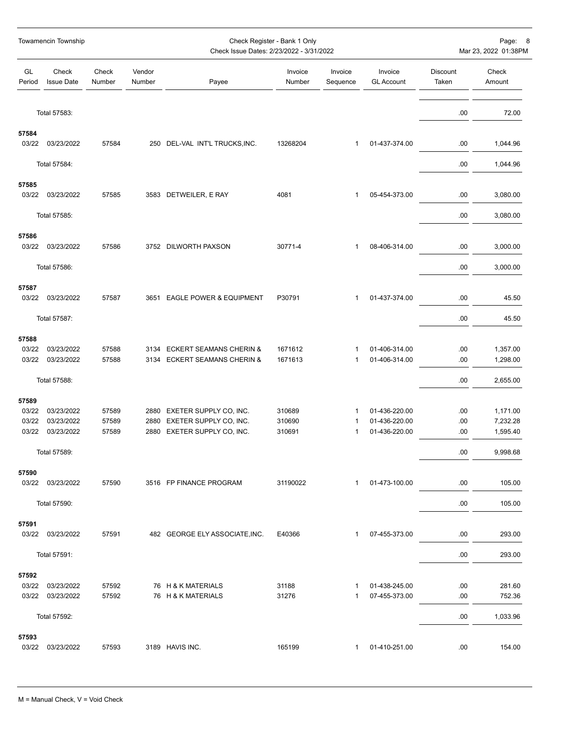|                | Towamencin Township        |                 |                  | Check Register - Bank 1 Only<br>Check Issue Dates: 2/23/2022 - 3/31/2022 | Page: 8<br>Mar 23, 2022 01:38PM |                     |                                |                   |                      |
|----------------|----------------------------|-----------------|------------------|--------------------------------------------------------------------------|---------------------------------|---------------------|--------------------------------|-------------------|----------------------|
| GL<br>Period   | Check<br><b>Issue Date</b> | Check<br>Number | Vendor<br>Number | Payee                                                                    | Invoice<br>Number               | Invoice<br>Sequence | Invoice<br><b>GL Account</b>   | Discount<br>Taken | Check<br>Amount      |
|                | Total 57583:               |                 |                  |                                                                          |                                 |                     |                                | .00               | 72.00                |
| 57584          |                            |                 |                  |                                                                          |                                 |                     |                                |                   |                      |
| 03/22          | 03/23/2022                 | 57584           |                  | 250 DEL-VAL INT'L TRUCKS, INC.                                           | 13268204                        | 1                   | 01-437-374.00                  | .00               | 1,044.96             |
|                | Total 57584:               |                 |                  |                                                                          |                                 |                     |                                | .00               | 1,044.96             |
| 57585<br>03/22 | 03/23/2022                 | 57585           |                  | 3583 DETWEILER, E RAY                                                    | 4081                            | 1                   | 05-454-373.00                  | .00               | 3,080.00             |
|                | Total 57585:               |                 |                  |                                                                          |                                 |                     |                                | .00               | 3,080.00             |
|                |                            |                 |                  |                                                                          |                                 |                     |                                |                   |                      |
| 57586<br>03/22 | 03/23/2022                 | 57586           |                  | 3752 DILWORTH PAXSON                                                     | 30771-4                         | 1                   | 08-406-314.00                  | .00               | 3,000.00             |
|                | Total 57586:               |                 |                  |                                                                          |                                 |                     |                                | .00               | 3,000.00             |
| 57587          |                            |                 |                  |                                                                          |                                 |                     |                                |                   |                      |
| 03/22          | 03/23/2022                 | 57587           |                  | 3651 EAGLE POWER & EQUIPMENT                                             | P30791                          | $\mathbf{1}$        | 01-437-374.00                  | .00               | 45.50                |
|                | Total 57587:               |                 |                  |                                                                          |                                 |                     |                                | .00               | 45.50                |
| 57588          |                            |                 |                  |                                                                          |                                 |                     |                                |                   |                      |
| 03/22          | 03/23/2022                 | 57588           |                  | 3134 ECKERT SEAMANS CHERIN &                                             | 1671612                         | 1                   | 01-406-314.00                  | .00               | 1,357.00             |
| 03/22          | 03/23/2022                 | 57588           | 3134             | <b>ECKERT SEAMANS CHERIN &amp;</b>                                       | 1671613                         | 1                   | 01-406-314.00                  | .00               | 1,298.00             |
|                | Total 57588:               |                 |                  |                                                                          |                                 |                     |                                | .00               | 2,655.00             |
| 57589          |                            |                 |                  |                                                                          |                                 |                     |                                |                   |                      |
| 03/22          | 03/23/2022                 | 57589           |                  | 2880 EXETER SUPPLY CO, INC.                                              | 310689                          | 1                   | 01-436-220.00                  | .00               | 1,171.00             |
| 03/22<br>03/22 | 03/23/2022<br>03/23/2022   | 57589<br>57589  | 2880<br>2880     | EXETER SUPPLY CO, INC.<br>EXETER SUPPLY CO, INC.                         | 310690<br>310691                | 1<br>1              | 01-436-220.00<br>01-436-220.00 | .00<br>.00        | 7,232.28<br>1,595.40 |
|                |                            |                 |                  |                                                                          |                                 |                     |                                |                   |                      |
|                | Total 57589:               |                 |                  |                                                                          |                                 |                     |                                | .00               | 9,998.68             |
| 57590<br>03/22 | 03/23/2022                 | 57590           |                  | 3516 FP FINANCE PROGRAM                                                  | 31190022                        | 1                   | 01-473-100.00                  | .00               | 105.00               |
|                | Total 57590:               |                 |                  |                                                                          |                                 |                     |                                | .00               | 105.00               |
| 57591          |                            |                 |                  |                                                                          |                                 |                     |                                |                   |                      |
| 03/22          | 03/23/2022                 | 57591           |                  | 482 GEORGE ELY ASSOCIATE, INC.                                           | E40366                          | $\mathbf{1}$        | 07-455-373.00                  | .00               | 293.00               |
|                | Total 57591:               |                 |                  |                                                                          |                                 |                     |                                | .00               | 293.00               |
| 57592          |                            |                 |                  |                                                                          |                                 |                     |                                |                   |                      |
| 03/22          | 03/23/2022                 | 57592           |                  | 76 H & K MATERIALS                                                       | 31188                           | 1                   | 01-438-245.00                  | .00               | 281.60               |
| 03/22          | 03/23/2022                 | 57592           |                  | 76 H & K MATERIALS                                                       | 31276                           | 1                   | 07-455-373.00                  | .00               | 752.36               |
|                | Total 57592:               |                 |                  |                                                                          |                                 |                     |                                | .00               | 1,033.96             |
| 57593          |                            |                 |                  |                                                                          |                                 |                     |                                |                   |                      |
| 03/22          | 03/23/2022                 | 57593           |                  | 3189 HAVIS INC.                                                          | 165199                          | 1                   | 01-410-251.00                  | .00               | 154.00               |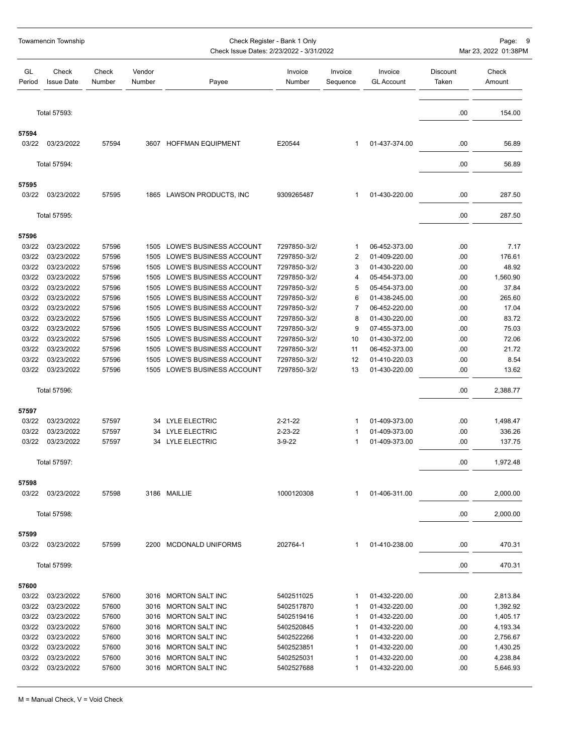|              | Towamencin Township        |                 | Check Register - Bank 1 Only<br>Mar 23, 2022 01:38PM<br>Check Issue Dates: 2/23/2022 - 3/31/2022 |                                |                   |                     |                              |                          |                 |  |
|--------------|----------------------------|-----------------|--------------------------------------------------------------------------------------------------|--------------------------------|-------------------|---------------------|------------------------------|--------------------------|-----------------|--|
| GL<br>Period | Check<br><b>Issue Date</b> | Check<br>Number | Vendor<br>Number                                                                                 | Payee                          | Invoice<br>Number | Invoice<br>Sequence | Invoice<br><b>GL Account</b> | <b>Discount</b><br>Taken | Check<br>Amount |  |
|              | Total 57593:               |                 |                                                                                                  |                                |                   |                     |                              | .00                      | 154.00          |  |
| 57594        |                            |                 |                                                                                                  |                                |                   |                     |                              |                          |                 |  |
| 03/22        | 03/23/2022                 | 57594           |                                                                                                  | 3607 HOFFMAN EQUIPMENT         | E20544            | 1                   | 01-437-374.00                | .00                      | 56.89           |  |
|              | Total 57594:               |                 |                                                                                                  |                                |                   |                     |                              | .00                      | 56.89           |  |
| 57595        |                            |                 |                                                                                                  |                                |                   |                     |                              |                          |                 |  |
| 03/22        | 03/23/2022                 | 57595           | 1865                                                                                             | LAWSON PRODUCTS, INC           | 9309265487        | 1                   | 01-430-220.00                | .00                      | 287.50          |  |
|              | Total 57595:               |                 |                                                                                                  |                                |                   |                     |                              | .00                      | 287.50          |  |
| 57596        |                            |                 |                                                                                                  |                                |                   |                     |                              |                          |                 |  |
| 03/22        | 03/23/2022                 | 57596           | 1505                                                                                             | LOWE'S BUSINESS ACCOUNT        | 7297850-3/2/      | $\mathbf 1$         | 06-452-373.00                | .00                      | 7.17            |  |
| 03/22        | 03/23/2022                 | 57596           | 1505                                                                                             | LOWE'S BUSINESS ACCOUNT        | 7297850-3/2/      | 2                   | 01-409-220.00                | .00                      | 176.61          |  |
| 03/22        | 03/23/2022                 | 57596           | 1505                                                                                             | LOWE'S BUSINESS ACCOUNT        | 7297850-3/2/      | 3                   | 01-430-220.00                | .00                      | 48.92           |  |
| 03/22        | 03/23/2022                 | 57596           | 1505                                                                                             | LOWE'S BUSINESS ACCOUNT        | 7297850-3/2/      | 4                   | 05-454-373.00                | .00                      | 1,560.90        |  |
| 03/22        | 03/23/2022                 | 57596           | 1505                                                                                             | LOWE'S BUSINESS ACCOUNT        | 7297850-3/2/      | 5                   | 05-454-373.00                | .00                      | 37.84           |  |
| 03/22        | 03/23/2022                 | 57596           | 1505                                                                                             | <b>LOWE'S BUSINESS ACCOUNT</b> | 7297850-3/2/      | 6                   | 01-438-245.00                | .00                      | 265.60          |  |
| 03/22        | 03/23/2022                 | 57596           | 1505                                                                                             | LOWE'S BUSINESS ACCOUNT        | 7297850-3/2/      | 7                   | 06-452-220.00                | .00                      | 17.04           |  |
| 03/22        | 03/23/2022                 | 57596           | 1505                                                                                             | LOWE'S BUSINESS ACCOUNT        | 7297850-3/2/      | 8                   | 01-430-220.00                | .00                      | 83.72           |  |
| 03/22        | 03/23/2022                 | 57596           | 1505                                                                                             | LOWE'S BUSINESS ACCOUNT        | 7297850-3/2/      | 9                   | 07-455-373.00                | .00                      | 75.03           |  |
| 03/22        | 03/23/2022                 | 57596           | 1505                                                                                             | LOWE'S BUSINESS ACCOUNT        | 7297850-3/2/      | 10                  | 01-430-372.00                | .00                      | 72.06           |  |
| 03/22        | 03/23/2022                 | 57596           | 1505                                                                                             | LOWE'S BUSINESS ACCOUNT        | 7297850-3/2/      | 11                  | 06-452-373.00                | .00                      | 21.72           |  |
| 03/22        | 03/23/2022                 | 57596           | 1505                                                                                             | LOWE'S BUSINESS ACCOUNT        | 7297850-3/2/      | 12                  | 01-410-220.03                | .00                      | 8.54            |  |
| 03/22        | 03/23/2022                 | 57596           | 1505                                                                                             | LOWE'S BUSINESS ACCOUNT        | 7297850-3/2/      | 13                  | 01-430-220.00                | .00                      | 13.62           |  |
|              | Total 57596:               |                 |                                                                                                  |                                |                   |                     |                              | .00                      | 2,388.77        |  |
| 57597        |                            |                 |                                                                                                  |                                |                   |                     |                              |                          |                 |  |
| 03/22        | 03/23/2022                 | 57597           |                                                                                                  | 34 LYLE ELECTRIC               | $2 - 21 - 22$     | 1                   | 01-409-373.00                | .00                      | 1,498.47        |  |
| 03/22        | 03/23/2022                 | 57597           |                                                                                                  | 34 LYLE ELECTRIC               | 2-23-22           | 1                   | 01-409-373.00                | .00                      | 336.26          |  |
| 03/22        | 03/23/2022                 | 57597           |                                                                                                  | 34 LYLE ELECTRIC               | $3-9-22$          | 1                   | 01-409-373.00                | .00                      | 137.75          |  |
|              | Total 57597:               |                 |                                                                                                  |                                |                   |                     |                              | .00                      | 1,972.48        |  |
| 57598        |                            |                 |                                                                                                  |                                |                   |                     |                              |                          |                 |  |
| 03/22        | 03/23/2022                 | 57598           |                                                                                                  | 3186 MAILLIE                   | 1000120308        | 1                   | 01-406-311.00                | .00                      | 2,000.00        |  |
|              | Total 57598:               |                 |                                                                                                  |                                |                   |                     |                              | .00                      | 2,000.00        |  |
| 57599        |                            |                 |                                                                                                  |                                |                   |                     |                              |                          |                 |  |
| 03/22        | 03/23/2022                 | 57599           |                                                                                                  | 2200 MCDONALD UNIFORMS         | 202764-1          | 1                   | 01-410-238.00                | .00                      | 470.31          |  |
|              | Total 57599:               |                 |                                                                                                  |                                |                   |                     |                              | .00                      | 470.31          |  |
| 57600        |                            |                 |                                                                                                  |                                |                   |                     |                              |                          |                 |  |
| 03/22        | 03/23/2022                 | 57600           |                                                                                                  | 3016 MORTON SALT INC           | 5402511025        | 1                   | 01-432-220.00                | .00                      | 2,813.84        |  |
| 03/22        | 03/23/2022                 | 57600           |                                                                                                  | 3016 MORTON SALT INC           | 5402517870        | -1                  | 01-432-220.00                | .00                      | 1,392.92        |  |
| 03/22        | 03/23/2022                 | 57600           |                                                                                                  | 3016 MORTON SALT INC           | 5402519416        | 1                   | 01-432-220.00                | .00                      | 1,405.17        |  |
| 03/22        | 03/23/2022                 | 57600           |                                                                                                  | 3016 MORTON SALT INC           | 5402520845        | -1                  | 01-432-220.00                | .00                      | 4,193.34        |  |
| 03/22        | 03/23/2022                 | 57600           |                                                                                                  | 3016 MORTON SALT INC           | 5402522266        | -1                  | 01-432-220.00                | .00                      | 2,756.67        |  |
| 03/22        | 03/23/2022                 | 57600           |                                                                                                  | 3016 MORTON SALT INC           | 5402523851        | -1                  | 01-432-220.00                | .00                      | 1,430.25        |  |
| 03/22        | 03/23/2022                 | 57600           |                                                                                                  | 3016 MORTON SALT INC           | 5402525031        | 1                   | 01-432-220.00                | .00                      | 4,238.84        |  |
| 03/22        | 03/23/2022                 | 57600           |                                                                                                  | 3016 MORTON SALT INC           | 5402527688        | 1                   | 01-432-220.00                | .00                      | 5,646.93        |  |
|              |                            |                 |                                                                                                  |                                |                   |                     |                              |                          |                 |  |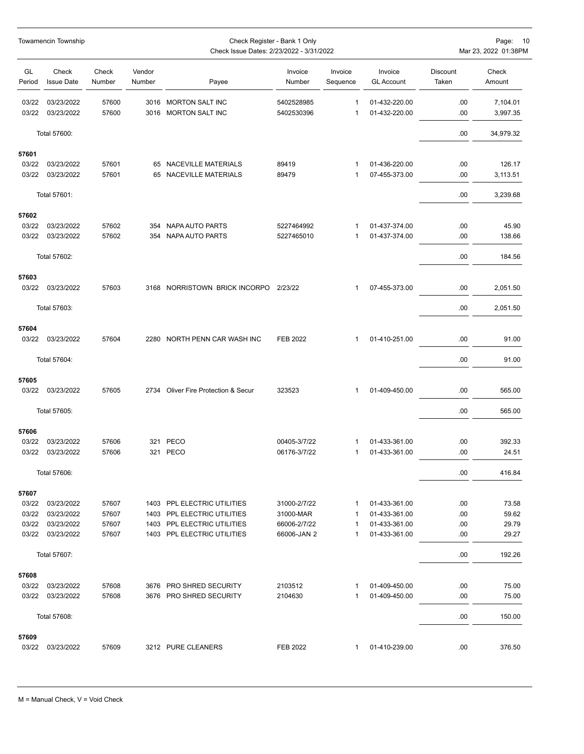|                | Towamencin Township        |                 |                  |                                                    | Page: 10<br>Mar 23, 2022 01:38PM |                     |                                |                   |                      |
|----------------|----------------------------|-----------------|------------------|----------------------------------------------------|----------------------------------|---------------------|--------------------------------|-------------------|----------------------|
| GL<br>Period   | Check<br><b>Issue Date</b> | Check<br>Number | Vendor<br>Number | Payee                                              | Invoice<br>Number                | Invoice<br>Sequence | Invoice<br><b>GL Account</b>   | Discount<br>Taken | Check<br>Amount      |
| 03/22<br>03/22 | 03/23/2022<br>03/23/2022   | 57600<br>57600  |                  | 3016 MORTON SALT INC<br>3016 MORTON SALT INC       | 5402528985<br>5402530396         | 1<br>1              | 01-432-220.00<br>01-432-220.00 | .00.<br>.00.      | 7,104.01<br>3,997.35 |
|                | Total 57600:               |                 |                  |                                                    |                                  |                     |                                | .00               | 34,979.32            |
| 57601          |                            |                 |                  |                                                    |                                  |                     |                                |                   |                      |
| 03/22          | 03/23/2022                 | 57601           |                  | 65 NACEVILLE MATERIALS                             | 89419                            | 1                   | 01-436-220.00                  | .00               | 126.17               |
| 03/22          | 03/23/2022                 | 57601           |                  | 65 NACEVILLE MATERIALS                             | 89479                            | 1                   | 07-455-373.00                  | .00               | 3,113.51             |
|                | Total 57601:               |                 |                  |                                                    |                                  |                     |                                | .00               | 3,239.68             |
| 57602          |                            |                 |                  |                                                    |                                  |                     |                                |                   |                      |
| 03/22<br>03/22 | 03/23/2022<br>03/23/2022   | 57602<br>57602  |                  | 354 NAPA AUTO PARTS<br>354 NAPA AUTO PARTS         | 5227464992<br>5227465010         | 1<br>1              | 01-437-374.00<br>01-437-374.00 | .00<br>.00        | 45.90<br>138.66      |
|                |                            |                 |                  |                                                    |                                  |                     |                                |                   |                      |
|                | Total 57602:               |                 |                  |                                                    |                                  |                     |                                | .00.              | 184.56               |
| 57603          |                            |                 |                  |                                                    |                                  |                     |                                |                   |                      |
| 03/22          | 03/23/2022                 | 57603           |                  | 3168 NORRISTOWN BRICK INCORPO 2/23/22              |                                  | 1                   | 07-455-373.00                  | .00               | 2,051.50             |
|                | Total 57603:               |                 |                  |                                                    |                                  |                     |                                | .00               | 2,051.50             |
| 57604          |                            |                 |                  |                                                    |                                  |                     |                                |                   |                      |
| 03/22          | 03/23/2022                 | 57604           |                  | 2280 NORTH PENN CAR WASH INC                       | FEB 2022                         | 1                   | 01-410-251.00                  | .00               | 91.00                |
|                | Total 57604:               |                 |                  |                                                    |                                  |                     |                                | .00.              | 91.00                |
| 57605          |                            |                 |                  |                                                    |                                  |                     |                                |                   |                      |
| 03/22          | 03/23/2022                 | 57605           |                  | 2734 Oliver Fire Protection & Secur                | 323523                           | 1                   | 01-409-450.00                  | .00               | 565.00               |
|                | Total 57605:               |                 |                  |                                                    |                                  |                     |                                | .00               | 565.00               |
| 57606          |                            |                 |                  |                                                    |                                  |                     |                                |                   |                      |
| 03/22          | 03/23/2022                 | 57606           |                  | 321 PECO                                           | 00405-3/7/22                     | 1                   | 01-433-361.00                  | .00               | 392.33               |
| 03/22          | 03/23/2022                 | 57606           |                  | 321 PECO                                           | 06176-3/7/22                     | 1                   | 01-433-361.00                  | .00.              | 24.51                |
|                | Total 57606:               |                 |                  |                                                    |                                  |                     |                                | .00.              | 416.84               |
| 57607          |                            |                 |                  |                                                    |                                  |                     |                                |                   |                      |
| 03/22          | 03/23/2022                 | 57607           |                  | 1403 PPL ELECTRIC UTILITIES                        | 31000-2/7/22                     | 1                   | 01-433-361.00                  | .00               | 73.58                |
| 03/22          | 03/23/2022                 | 57607           |                  | 1403 PPL ELECTRIC UTILITIES                        | 31000-MAR                        | 1                   | 01-433-361.00                  | .00               | 59.62                |
| 03/22          | 03/23/2022                 | 57607           |                  | 1403 PPL ELECTRIC UTILITIES                        | 66006-2/7/22                     | 1                   | 01-433-361.00                  | .00               | 29.79                |
| 03/22          | 03/23/2022                 | 57607           |                  | 1403 PPL ELECTRIC UTILITIES                        | 66006-JAN 2                      | 1                   | 01-433-361.00                  | .00               | 29.27                |
|                | Total 57607:               |                 |                  |                                                    |                                  |                     |                                | .00               | 192.26               |
| 57608          |                            |                 |                  |                                                    |                                  |                     |                                |                   |                      |
| 03/22<br>03/22 | 03/23/2022<br>03/23/2022   | 57608<br>57608  |                  | 3676 PRO SHRED SECURITY<br>3676 PRO SHRED SECURITY | 2103512<br>2104630               | 1<br>1              | 01-409-450.00<br>01-409-450.00 | .00<br>.00        | 75.00<br>75.00       |
|                | Total 57608:               |                 |                  |                                                    |                                  |                     |                                | .00               | 150.00               |
|                |                            |                 |                  |                                                    |                                  |                     |                                |                   |                      |
| 57609<br>03/22 | 03/23/2022                 | 57609           |                  | 3212 PURE CLEANERS                                 | FEB 2022                         | 1                   | 01-410-239.00                  | .00               | 376.50               |
|                |                            |                 |                  |                                                    |                                  |                     |                                |                   |                      |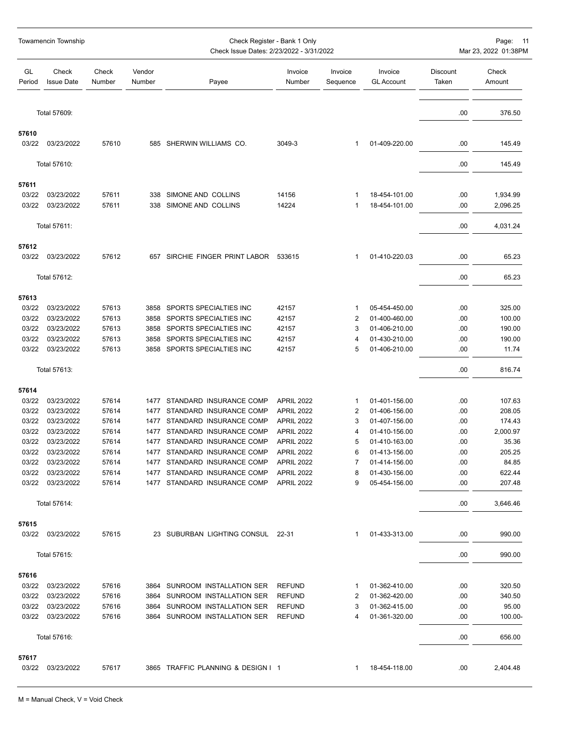|                | <b>Towamencin Township</b>     |                 |                  | Check Register - Bank 1 Only<br>Check Issue Dates: 2/23/2022 - 3/31/2022 |                                        | Page: 11<br>Mar 23, 2022 01:38PM |                                |                   |                  |
|----------------|--------------------------------|-----------------|------------------|--------------------------------------------------------------------------|----------------------------------------|----------------------------------|--------------------------------|-------------------|------------------|
| GL<br>Period   | Check<br><b>Issue Date</b>     | Check<br>Number | Vendor<br>Number | Payee                                                                    | Invoice<br>Number                      | Invoice<br>Sequence              | Invoice<br><b>GL Account</b>   | Discount<br>Taken | Check<br>Amount  |
|                | Total 57609:                   |                 |                  |                                                                          |                                        |                                  |                                | .00               | 376.50           |
| 57610          |                                |                 |                  |                                                                          |                                        |                                  |                                |                   |                  |
| 03/22          | 03/23/2022                     | 57610           |                  | 585 SHERWIN WILLIAMS CO.                                                 | 3049-3                                 | 1                                | 01-409-220.00                  | .00               | 145.49           |
|                | Total 57610:                   |                 |                  |                                                                          |                                        |                                  |                                | .00               | 145.49           |
| 57611          |                                |                 |                  |                                                                          |                                        |                                  |                                |                   |                  |
| 03/22          | 03/23/2022                     | 57611           | 338              | SIMONE AND COLLINS                                                       | 14156                                  | 1                                | 18-454-101.00                  | .00               | 1,934.99         |
| 03/22          | 03/23/2022                     | 57611           |                  | 338 SIMONE AND COLLINS                                                   | 14224                                  | 1                                | 18-454-101.00                  | .00               | 2,096.25         |
|                | Total 57611:                   |                 |                  |                                                                          |                                        |                                  |                                | .00.              | 4,031.24         |
| 57612<br>03/22 | 03/23/2022                     | 57612           |                  | 657 SIRCHIE FINGER PRINT LABOR 533615                                    |                                        | 1                                | 01-410-220.03                  | .00               | 65.23            |
|                | Total 57612:                   |                 |                  |                                                                          |                                        |                                  |                                | .00.              | 65.23            |
| 57613          |                                |                 |                  |                                                                          |                                        |                                  |                                |                   |                  |
| 03/22          | 03/23/2022                     | 57613           |                  | 3858 SPORTS SPECIALTIES INC                                              | 42157                                  | 1                                | 05-454-450.00                  | .00               | 325.00           |
| 03/22          | 03/23/2022                     | 57613           |                  | 3858 SPORTS SPECIALTIES INC                                              | 42157                                  | 2                                | 01-400-460.00                  | .00               | 100.00           |
| 03/22          | 03/23/2022                     | 57613           |                  | 3858 SPORTS SPECIALTIES INC                                              | 42157                                  | 3                                | 01-406-210.00                  | .00               | 190.00           |
| 03/22          | 03/23/2022                     | 57613           | 3858             | SPORTS SPECIALTIES INC                                                   | 42157                                  | 4                                | 01-430-210.00                  | .00               | 190.00           |
| 03/22          | 03/23/2022                     | 57613           |                  | 3858 SPORTS SPECIALTIES INC                                              | 42157                                  | 5                                | 01-406-210.00                  | .00               | 11.74            |
|                | Total 57613:                   |                 |                  |                                                                          |                                        |                                  |                                | .00.              | 816.74           |
| 57614          |                                |                 |                  |                                                                          |                                        |                                  |                                |                   |                  |
| 03/22          | 03/23/2022                     | 57614           |                  | 1477 STANDARD INSURANCE COMP                                             | <b>APRIL 2022</b>                      | 1                                | 01-401-156.00                  | .00.              | 107.63           |
| 03/22          | 03/23/2022                     | 57614           |                  | 1477 STANDARD INSURANCE COMP                                             | <b>APRIL 2022</b>                      | 2                                | 01-406-156.00                  | .00               | 208.05           |
| 03/22          | 03/23/2022                     | 57614           | 1477             | STANDARD INSURANCE COMP                                                  | <b>APRIL 2022</b>                      | 3                                | 01-407-156.00                  | .00               | 174.43           |
| 03/22          | 03/23/2022                     | 57614           |                  | 1477 STANDARD INSURANCE COMP                                             | <b>APRIL 2022</b>                      | 4                                | 01-410-156.00                  | .00               | 2,000.97         |
| 03/22          | 03/23/2022                     | 57614           | 1477             | STANDARD INSURANCE COMP                                                  | <b>APRIL 2022</b>                      | 5                                | 01-410-163.00                  | .00               | 35.36            |
| 03/22          | 03/23/2022                     | 57614           |                  | 1477 STANDARD INSURANCE COMP                                             | <b>APRIL 2022</b>                      | 6                                | 01-413-156.00                  | .00.              | 205.25           |
|                | 03/22 03/23/2022               | 57614           |                  | 1477 STANDARD INSURANCE COMP                                             | <b>APRIL 2022</b>                      |                                  | 01-414-156.00                  | .00               | 84.85            |
| 03/22          | 03/23/2022<br>03/22 03/23/2022 | 57614<br>57614  |                  | 1477 STANDARD INSURANCE COMP<br>1477 STANDARD INSURANCE COMP             | <b>APRIL 2022</b><br><b>APRIL 2022</b> | 8<br>9                           | 01-430-156.00<br>05-454-156.00 | .00<br>.00.       | 622.44<br>207.48 |
|                | Total 57614:                   |                 |                  |                                                                          |                                        |                                  |                                | .00.              | 3,646.46         |
| 57615          |                                |                 |                  |                                                                          |                                        |                                  |                                |                   |                  |
| 03/22          | 03/23/2022                     | 57615           |                  | 23 SUBURBAN LIGHTING CONSUL 22-31                                        |                                        | 1                                | 01-433-313.00                  | .00               | 990.00           |
|                | Total 57615:                   |                 |                  |                                                                          |                                        |                                  |                                | .00               | 990.00           |
| 57616          |                                |                 |                  |                                                                          |                                        |                                  |                                |                   |                  |
| 03/22          | 03/23/2022                     | 57616           |                  | 3864 SUNROOM INSTALLATION SER                                            | <b>REFUND</b>                          | 1                                | 01-362-410.00                  | .00               | 320.50           |
| 03/22          | 03/23/2022                     | 57616           |                  | 3864 SUNROOM INSTALLATION SER                                            | <b>REFUND</b>                          | 2                                | 01-362-420.00                  | .00               | 340.50           |
| 03/22          | 03/23/2022                     | 57616           |                  | 3864 SUNROOM INSTALLATION SER                                            | <b>REFUND</b>                          | 3                                | 01-362-415.00                  | .00               | 95.00            |
| 03/22          | 03/23/2022                     | 57616           |                  | 3864 SUNROOM INSTALLATION SER                                            | <b>REFUND</b>                          | 4                                | 01-361-320.00                  | .00.              | 100.00-          |
|                | Total 57616:                   |                 |                  |                                                                          |                                        |                                  |                                | .00               | 656.00           |
| 57617<br>03/22 | 03/23/2022                     | 57617           |                  | 3865 TRAFFIC PLANNING & DESIGN I 1                                       |                                        | 1                                | 18-454-118.00                  | .00               | 2,404.48         |
|                |                                |                 |                  |                                                                          |                                        |                                  |                                |                   |                  |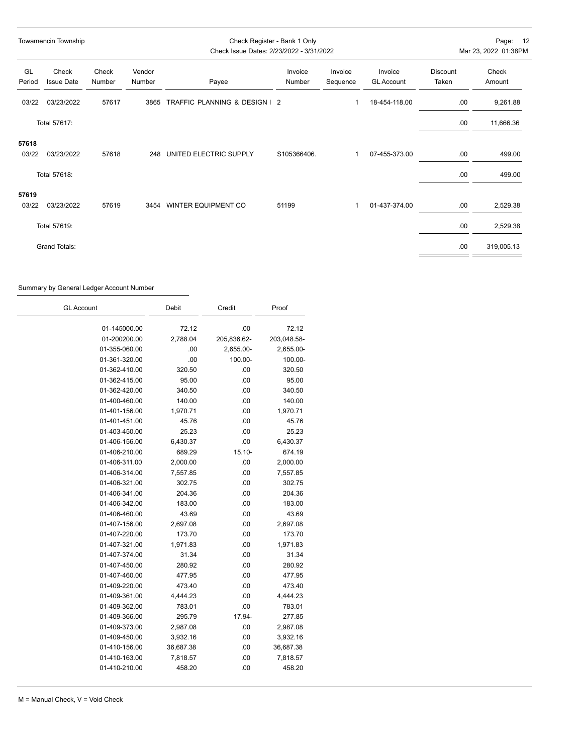| Towamencin Township |                            |                 | Check Register - Bank 1 Only<br>Check Issue Dates: 2/23/2022 - 3/31/2022 |                               |                   |                     | Page: 12<br>Mar 23, 2022 01:38PM |                          |                  |
|---------------------|----------------------------|-----------------|--------------------------------------------------------------------------|-------------------------------|-------------------|---------------------|----------------------------------|--------------------------|------------------|
| GL<br>Period        | Check<br><b>Issue Date</b> | Check<br>Number | Vendor<br>Number                                                         | Payee                         | Invoice<br>Number | Invoice<br>Sequence | Invoice<br><b>GL Account</b>     | <b>Discount</b><br>Taken | Check<br>Amount  |
| 03/22               | 03/23/2022                 | 57617           | 3865                                                                     | TRAFFIC PLANNING & DESIGN   2 |                   |                     | 18-454-118.00                    | .00                      | 9,261.88         |
|                     | Total 57617:               |                 |                                                                          |                               |                   |                     |                                  | .00                      | 11,666.36        |
| 57618<br>03/22      | 03/23/2022<br>Total 57618: | 57618           | 248                                                                      | UNITED ELECTRIC SUPPLY        | S105366406.       | 1                   | 07-455-373.00                    | .00<br>.00               | 499.00<br>499.00 |
| 57619               |                            |                 |                                                                          |                               |                   |                     |                                  |                          |                  |
| 03/22               | 03/23/2022                 | 57619           |                                                                          | 3454 WINTER EQUIPMENT CO      | 51199             | 1                   | 01-437-374.00                    | .00                      | 2,529.38         |
|                     | Total 57619:               |                 |                                                                          |                               |                   |                     |                                  | .00                      | 2,529.38         |
|                     | <b>Grand Totals:</b>       |                 |                                                                          |                               |                   |                     |                                  | .00                      | 319,005.13       |

### Summary by General Ledger Account Number

| <b>GL Account</b> | Debit     | Credit      | Proof       |
|-------------------|-----------|-------------|-------------|
| 01-145000.00      | 72.12     | .00         | 72.12       |
| 01-200200.00      | 2,788.04  | 205,836.62- | 203,048.58- |
| 01-355-060.00     | .00       | 2,655.00-   | 2,655.00-   |
| 01-361-320.00     | .00       | 100.00-     | 100.00-     |
| 01-362-410.00     | 320.50    | .00         | 320.50      |
| 01-362-415.00     | 95.00     | .00         | 95.00       |
| 01-362-420.00     | 340.50    | .00         | 340.50      |
| 01-400-460.00     | 140.00    | .00         | 140.00      |
| 01-401-156.00     | 1,970.71  | .00         | 1,970.71    |
| 01-401-451.00     | 45.76     | .00         | 45.76       |
| 01-403-450.00     | 25.23     | .00         | 25.23       |
| 01-406-156.00     | 6,430.37  | .00         | 6,430.37    |
| 01-406-210.00     | 689.29    | $15.10 -$   | 674.19      |
| 01-406-311.00     | 2,000.00  | .00         | 2,000.00    |
| 01-406-314.00     | 7,557.85  | .00         | 7,557.85    |
| 01-406-321.00     | 302.75    | .00         | 302.75      |
| 01-406-341.00     | 204.36    | .00         | 204.36      |
| 01-406-342.00     | 183.00    | .00         | 183.00      |
| 01-406-460.00     | 43.69     | .00         | 43.69       |
| 01-407-156.00     | 2,697.08  | .00         | 2,697.08    |
| 01-407-220.00     | 173.70    | .00         | 173.70      |
| 01-407-321.00     | 1,971.83  | .00         | 1,971.83    |
| 01-407-374.00     | 31.34     | .00         | 31.34       |
| 01-407-450.00     | 280.92    | .00         | 280.92      |
| 01-407-460.00     | 477.95    | .00         | 477.95      |
| 01-409-220.00     | 473.40    | .00         | 473.40      |
| 01-409-361.00     | 4,444.23  | .00         | 4,444.23    |
| 01-409-362.00     | 783.01    | .00         | 783.01      |
| 01-409-366.00     | 295.79    | 17.94-      | 277.85      |
| 01-409-373.00     | 2,987.08  | .00         | 2,987.08    |
| 01-409-450.00     | 3,932.16  | .00         | 3,932.16    |
| 01-410-156.00     | 36,687.38 | .00         | 36,687.38   |
| 01-410-163.00     | 7,818.57  | .00         | 7,818.57    |
| 01-410-210.00     | 458.20    | .00         | 458.20      |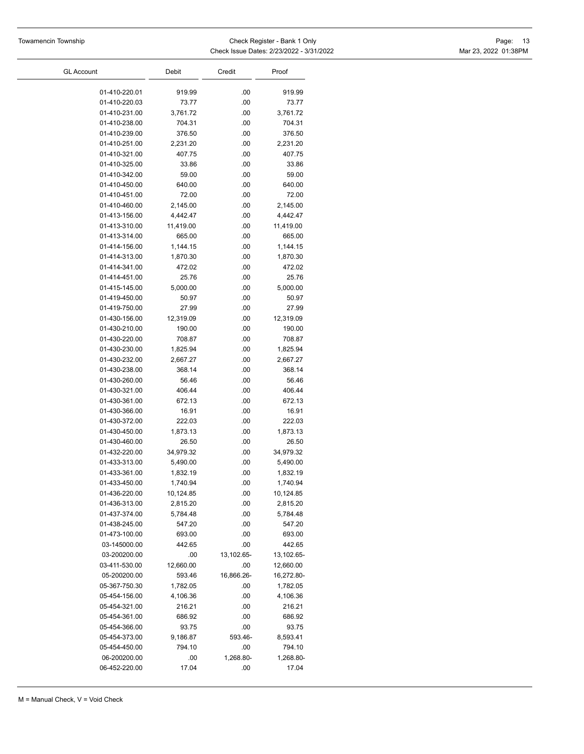$\overline{\phantom{0}}$ 

| <b>GL Account</b> | Debit     | Credit     | Proof      |
|-------------------|-----------|------------|------------|
| 01-410-220.01     | 919.99    | .00        | 919.99     |
| 01-410-220.03     | 73.77     | .00        | 73.77      |
| 01-410-231.00     | 3,761.72  | .00        | 3,761.72   |
| 01-410-238.00     | 704.31    | .00        | 704.31     |
| 01-410-239.00     | 376.50    | .00        | 376.50     |
| 01-410-251.00     | 2,231.20  | .00        | 2,231.20   |
| 01-410-321.00     | 407.75    | .00        | 407.75     |
| 01-410-325.00     | 33.86     | .00        | 33.86      |
| 01-410-342.00     | 59.00     | .00        | 59.00      |
| 01-410-450.00     | 640.00    | .00        | 640.00     |
| 01-410-451.00     | 72.00     | .00        | 72.00      |
| 01-410-460.00     | 2,145.00  | .00        | 2,145.00   |
| 01-413-156.00     | 4,442.47  | .00        | 4,442.47   |
| 01-413-310.00     | 11,419.00 | .00        | 11,419.00  |
| 01-413-314.00     | 665.00    | .00        | 665.00     |
| 01-414-156.00     | 1,144.15  | .00        | 1,144.15   |
| 01-414-313.00     | 1,870.30  | .00        | 1,870.30   |
| 01-414-341.00     | 472.02    | .00        | 472.02     |
| 01-414-451.00     | 25.76     | .00        | 25.76      |
| 01-415-145.00     | 5,000.00  | .00        | 5,000.00   |
| 01-419-450.00     | 50.97     | .00        | 50.97      |
| 01-419-750.00     | 27.99     | .00        | 27.99      |
| 01-430-156.00     | 12,319.09 | .00        | 12,319.09  |
| 01-430-210.00     | 190.00    | .00        | 190.00     |
| 01-430-220.00     | 708.87    | .00        | 708.87     |
| 01-430-230.00     | 1,825.94  | .00        | 1,825.94   |
| 01-430-232.00     | 2,667.27  | .00        | 2,667.27   |
| 01-430-238.00     | 368.14    | .00        | 368.14     |
| 01-430-260.00     | 56.46     | .00        | 56.46      |
| 01-430-321.00     | 406.44    | .00        | 406.44     |
| 01-430-361.00     | 672.13    | .00        | 672.13     |
| 01-430-366.00     | 16.91     | .00        | 16.91      |
| 01-430-372.00     | 222.03    | .00        | 222.03     |
| 01-430-450.00     | 1,873.13  | .00        | 1,873.13   |
| 01-430-460.00     | 26.50     | .00        | 26.50      |
| 01-432-220.00     | 34,979.32 | .00        | 34,979.32  |
| 01-433-313.00     | 5,490.00  | .00        | 5,490.00   |
| 01-433-361.00     | 1,832.19  | .00        | 1,832.19   |
| 01-433-450.00     | 1,740.94  | .00        | 1,740.94   |
| 01-436-220.00     | 10,124.85 | .00        | 10,124.85  |
| 01-436-313.00     | 2,815.20  | .00        | 2,815.20   |
| 01-437-374.00     | 5,784.48  | .00        | 5,784.48   |
| 01-438-245.00     | 547.20    | .00        | 547.20     |
| 01-473-100.00     | 693.00    | .00        | 693.00     |
| 03-145000.00      | 442.65    | .00        | 442.65     |
| 03-200200.00      | .00       | 13,102.65- | 13,102.65- |
| 03-411-530.00     | 12,660.00 | .00        | 12,660.00  |
| 05-200200.00      | 593.46    | 16,866.26- | 16,272.80- |
| 05-367-750.30     | 1,782.05  | .00        | 1,782.05   |
| 05-454-156.00     | 4,106.36  | .00        | 4,106.36   |
| 05-454-321.00     | 216.21    | .00        | 216.21     |
| 05-454-361.00     | 686.92    | .00        | 686.92     |
| 05-454-366.00     | 93.75     | .00        | 93.75      |
| 05-454-373.00     | 9,186.87  | 593.46-    | 8,593.41   |
| 05-454-450.00     | 794.10    | .00        | 794.10     |
| 06-200200.00      | .00       | 1,268.80-  | 1,268.80-  |
| 06-452-220.00     | 17.04     | .00        | 17.04      |
|                   |           |            |            |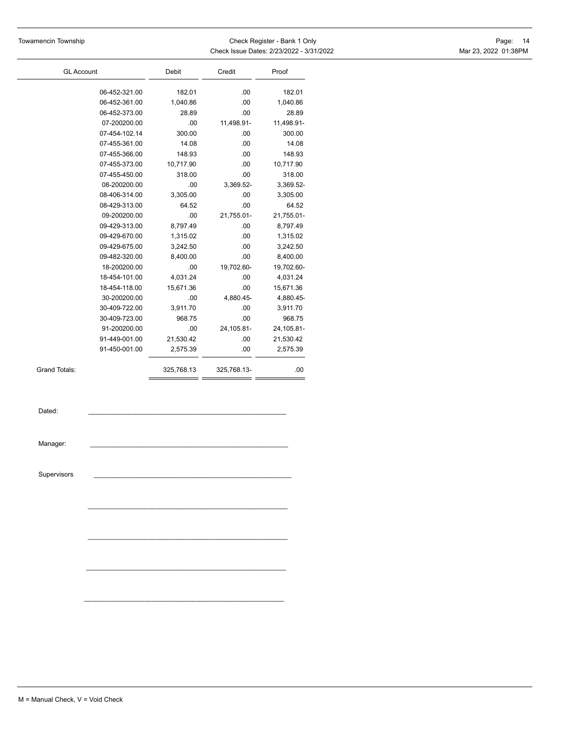| Towamencin Township | Check Register - Bank 1 Only             | Page: 14             |  |
|---------------------|------------------------------------------|----------------------|--|
|                     | Check Issue Dates: 2/23/2022 - 3/31/2022 | Mar 23, 2022 01:38PM |  |

| <b>GL Account</b>    |               | <b>Debit</b> | Credit      | Proof      |  |
|----------------------|---------------|--------------|-------------|------------|--|
|                      | 06-452-321.00 | 182.01       | .00         | 182.01     |  |
|                      | 06-452-361.00 | 1,040.86     | .00         | 1,040.86   |  |
|                      | 06-452-373.00 | 28.89        | .00         | 28.89      |  |
|                      | 07-200200.00  | .00          | 11,498.91-  | 11,498.91- |  |
|                      | 07-454-102.14 | 300.00       | .00         | 300.00     |  |
|                      | 07-455-361.00 | 14.08        | .00         | 14.08      |  |
|                      | 07-455-366.00 | 148.93       | .00         | 148.93     |  |
|                      | 07-455-373.00 | 10,717.90    | .00         | 10,717.90  |  |
|                      | 07-455-450.00 | 318.00       | .00         | 318.00     |  |
|                      | 08-200200.00  | .00          | 3,369.52-   | 3,369.52-  |  |
|                      | 08-406-314.00 | 3,305.00     | .00         | 3,305.00   |  |
|                      | 08-429-313.00 | 64.52        | .00         | 64.52      |  |
|                      | 09-200200.00  | .00          | 21,755.01-  | 21,755.01- |  |
|                      | 09-429-313.00 | 8,797.49     | .00         | 8,797.49   |  |
|                      | 09-429-670.00 | 1,315.02     | .00         | 1,315.02   |  |
|                      | 09-429-675.00 | 3,242.50     | .00         | 3,242.50   |  |
|                      | 09-482-320.00 | 8,400.00     | .00         | 8,400.00   |  |
|                      | 18-200200.00  | .00          | 19,702.60-  | 19,702.60- |  |
|                      | 18-454-101.00 | 4,031.24     | .00         | 4,031.24   |  |
|                      | 18-454-118.00 | 15,671.36    | .00         | 15,671.36  |  |
|                      | 30-200200.00  | .00          | 4,880.45-   | 4,880.45-  |  |
|                      | 30-409-722.00 | 3,911.70     | .00         | 3,911.70   |  |
|                      | 30-409-723.00 | 968.75       | .00         | 968.75     |  |
|                      | 91-200200.00  | .00          | 24,105.81-  | 24,105.81- |  |
|                      | 91-449-001.00 | 21,530.42    | .00         | 21,530.42  |  |
|                      | 91-450-001.00 | 2,575.39     | .00         | 2,575.39   |  |
| <b>Grand Totals:</b> |               | 325,768.13   | 325,768.13- | .00        |  |
| Dated:               |               |              |             |            |  |
| Manager:             |               |              |             |            |  |
|                      |               |              |             |            |  |